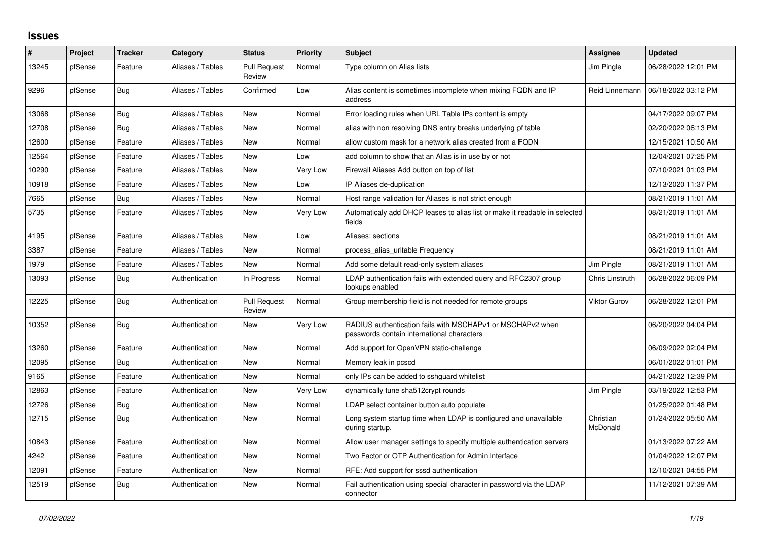## **Issues**

| $\#$  | Project | <b>Tracker</b> | Category         | <b>Status</b>                 | <b>Priority</b> | <b>Subject</b>                                                                                           | Assignee              | <b>Updated</b>      |
|-------|---------|----------------|------------------|-------------------------------|-----------------|----------------------------------------------------------------------------------------------------------|-----------------------|---------------------|
| 13245 | pfSense | Feature        | Aliases / Tables | <b>Pull Request</b><br>Review | Normal          | Type column on Alias lists                                                                               | Jim Pingle            | 06/28/2022 12:01 PM |
| 9296  | pfSense | Bug            | Aliases / Tables | Confirmed                     | Low             | Alias content is sometimes incomplete when mixing FQDN and IP<br>address                                 | Reid Linnemann        | 06/18/2022 03:12 PM |
| 13068 | pfSense | Bug            | Aliases / Tables | New                           | Normal          | Error loading rules when URL Table IPs content is empty                                                  |                       | 04/17/2022 09:07 PM |
| 12708 | pfSense | Bug            | Aliases / Tables | <b>New</b>                    | Normal          | alias with non resolving DNS entry breaks underlying pf table                                            |                       | 02/20/2022 06:13 PM |
| 12600 | pfSense | Feature        | Aliases / Tables | New                           | Normal          | allow custom mask for a network alias created from a FQDN                                                |                       | 12/15/2021 10:50 AM |
| 12564 | pfSense | Feature        | Aliases / Tables | <b>New</b>                    | Low             | add column to show that an Alias is in use by or not                                                     |                       | 12/04/2021 07:25 PM |
| 10290 | pfSense | Feature        | Aliases / Tables | <b>New</b>                    | Very Low        | Firewall Aliases Add button on top of list                                                               |                       | 07/10/2021 01:03 PM |
| 10918 | pfSense | Feature        | Aliases / Tables | New                           | Low             | IP Aliases de-duplication                                                                                |                       | 12/13/2020 11:37 PM |
| 7665  | pfSense | Bug            | Aliases / Tables | New                           | Normal          | Host range validation for Aliases is not strict enough                                                   |                       | 08/21/2019 11:01 AM |
| 5735  | pfSense | Feature        | Aliases / Tables | <b>New</b>                    | Very Low        | Automaticaly add DHCP leases to alias list or make it readable in selected<br>fields                     |                       | 08/21/2019 11:01 AM |
| 4195  | pfSense | Feature        | Aliases / Tables | <b>New</b>                    | Low             | Aliases: sections                                                                                        |                       | 08/21/2019 11:01 AM |
| 3387  | pfSense | Feature        | Aliases / Tables | New                           | Normal          | process_alias_urltable Frequency                                                                         |                       | 08/21/2019 11:01 AM |
| 1979  | pfSense | Feature        | Aliases / Tables | New                           | Normal          | Add some default read-only system aliases                                                                | Jim Pingle            | 08/21/2019 11:01 AM |
| 13093 | pfSense | Bug            | Authentication   | In Progress                   | Normal          | LDAP authentication fails with extended query and RFC2307 group<br>lookups enabled                       | Chris Linstruth       | 06/28/2022 06:09 PM |
| 12225 | pfSense | <b>Bug</b>     | Authentication   | <b>Pull Request</b><br>Review | Normal          | Group membership field is not needed for remote groups                                                   | <b>Viktor Gurov</b>   | 06/28/2022 12:01 PM |
| 10352 | pfSense | Bug            | Authentication   | <b>New</b>                    | Very Low        | RADIUS authentication fails with MSCHAPv1 or MSCHAPv2 when<br>passwords contain international characters |                       | 06/20/2022 04:04 PM |
| 13260 | pfSense | Feature        | Authentication   | <b>New</b>                    | Normal          | Add support for OpenVPN static-challenge                                                                 |                       | 06/09/2022 02:04 PM |
| 12095 | pfSense | <b>Bug</b>     | Authentication   | New                           | Normal          | Memory leak in pcscd                                                                                     |                       | 06/01/2022 01:01 PM |
| 9165  | pfSense | Feature        | Authentication   | New                           | Normal          | only IPs can be added to sshguard whitelist                                                              |                       | 04/21/2022 12:39 PM |
| 12863 | pfSense | Feature        | Authentication   | New                           | Very Low        | dynamically tune sha512crypt rounds                                                                      | Jim Pingle            | 03/19/2022 12:53 PM |
| 12726 | pfSense | Bug            | Authentication   | <b>New</b>                    | Normal          | LDAP select container button auto populate                                                               |                       | 01/25/2022 01:48 PM |
| 12715 | pfSense | Bug            | Authentication   | <b>New</b>                    | Normal          | Long system startup time when LDAP is configured and unavailable<br>during startup.                      | Christian<br>McDonald | 01/24/2022 05:50 AM |
| 10843 | pfSense | Feature        | Authentication   | <b>New</b>                    | Normal          | Allow user manager settings to specify multiple authentication servers                                   |                       | 01/13/2022 07:22 AM |
| 4242  | pfSense | Feature        | Authentication   | <b>New</b>                    | Normal          | Two Factor or OTP Authentication for Admin Interface                                                     |                       | 01/04/2022 12:07 PM |
| 12091 | pfSense | Feature        | Authentication   | <b>New</b>                    | Normal          | RFE: Add support for sssd authentication                                                                 |                       | 12/10/2021 04:55 PM |
| 12519 | pfSense | Bug            | Authentication   | <b>New</b>                    | Normal          | Fail authentication using special character in password via the LDAP<br>connector                        |                       | 11/12/2021 07:39 AM |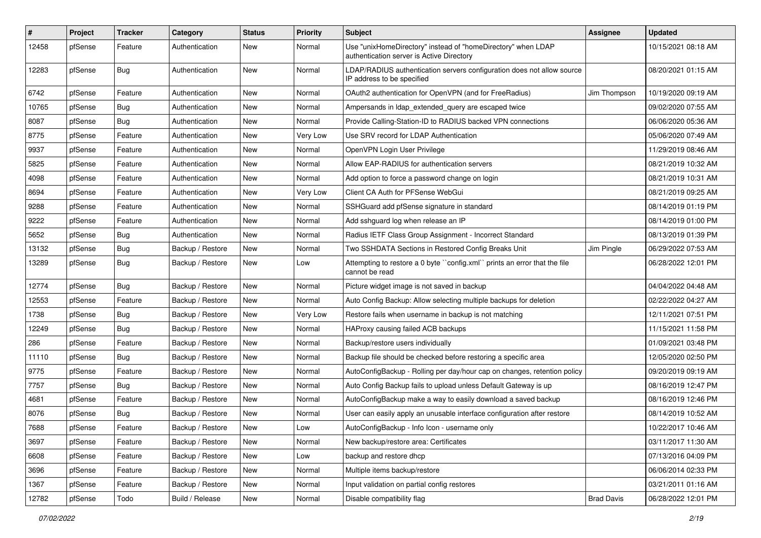| #     | Project | <b>Tracker</b> | Category         | <b>Status</b> | <b>Priority</b> | <b>Subject</b>                                                                                            | <b>Assignee</b>   | <b>Updated</b>      |
|-------|---------|----------------|------------------|---------------|-----------------|-----------------------------------------------------------------------------------------------------------|-------------------|---------------------|
| 12458 | pfSense | Feature        | Authentication   | New           | Normal          | Use "unixHomeDirectory" instead of "homeDirectory" when LDAP<br>authentication server is Active Directory |                   | 10/15/2021 08:18 AM |
| 12283 | pfSense | Bug            | Authentication   | New           | Normal          | LDAP/RADIUS authentication servers configuration does not allow source<br>IP address to be specified      |                   | 08/20/2021 01:15 AM |
| 6742  | pfSense | Feature        | Authentication   | <b>New</b>    | Normal          | OAuth2 authentication for OpenVPN (and for FreeRadius)                                                    | Jim Thompson      | 10/19/2020 09:19 AM |
| 10765 | pfSense | Bug            | Authentication   | New           | Normal          | Ampersands in Idap_extended_query are escaped twice                                                       |                   | 09/02/2020 07:55 AM |
| 8087  | pfSense | Bug            | Authentication   | <b>New</b>    | Normal          | Provide Calling-Station-ID to RADIUS backed VPN connections                                               |                   | 06/06/2020 05:36 AM |
| 8775  | pfSense | Feature        | Authentication   | <b>New</b>    | Very Low        | Use SRV record for LDAP Authentication                                                                    |                   | 05/06/2020 07:49 AM |
| 9937  | pfSense | Feature        | Authentication   | New           | Normal          | OpenVPN Login User Privilege                                                                              |                   | 11/29/2019 08:46 AM |
| 5825  | pfSense | Feature        | Authentication   | <b>New</b>    | Normal          | Allow EAP-RADIUS for authentication servers                                                               |                   | 08/21/2019 10:32 AM |
| 4098  | pfSense | Feature        | Authentication   | New           | Normal          | Add option to force a password change on login                                                            |                   | 08/21/2019 10:31 AM |
| 8694  | pfSense | Feature        | Authentication   | <b>New</b>    | Very Low        | Client CA Auth for PFSense WebGui                                                                         |                   | 08/21/2019 09:25 AM |
| 9288  | pfSense | Feature        | Authentication   | New           | Normal          | SSHGuard add pfSense signature in standard                                                                |                   | 08/14/2019 01:19 PM |
| 9222  | pfSense | Feature        | Authentication   | New           | Normal          | Add sshguard log when release an IP                                                                       |                   | 08/14/2019 01:00 PM |
| 5652  | pfSense | Bug            | Authentication   | New           | Normal          | Radius IETF Class Group Assignment - Incorrect Standard                                                   |                   | 08/13/2019 01:39 PM |
| 13132 | pfSense | Bug            | Backup / Restore | New           | Normal          | Two SSHDATA Sections in Restored Config Breaks Unit                                                       | Jim Pingle        | 06/29/2022 07:53 AM |
| 13289 | pfSense | Bug            | Backup / Restore | New           | Low             | Attempting to restore a 0 byte "config.xml" prints an error that the file<br>cannot be read               |                   | 06/28/2022 12:01 PM |
| 12774 | pfSense | Bug            | Backup / Restore | New           | Normal          | Picture widget image is not saved in backup                                                               |                   | 04/04/2022 04:48 AM |
| 12553 | pfSense | Feature        | Backup / Restore | New           | Normal          | Auto Config Backup: Allow selecting multiple backups for deletion                                         |                   | 02/22/2022 04:27 AM |
| 1738  | pfSense | Bug            | Backup / Restore | New           | Very Low        | Restore fails when username in backup is not matching                                                     |                   | 12/11/2021 07:51 PM |
| 12249 | pfSense | Bug            | Backup / Restore | New           | Normal          | HAProxy causing failed ACB backups                                                                        |                   | 11/15/2021 11:58 PM |
| 286   | pfSense | Feature        | Backup / Restore | <b>New</b>    | Normal          | Backup/restore users individually                                                                         |                   | 01/09/2021 03:48 PM |
| 11110 | pfSense | Bug            | Backup / Restore | New           | Normal          | Backup file should be checked before restoring a specific area                                            |                   | 12/05/2020 02:50 PM |
| 9775  | pfSense | Feature        | Backup / Restore | New           | Normal          | AutoConfigBackup - Rolling per day/hour cap on changes, retention policy                                  |                   | 09/20/2019 09:19 AM |
| 7757  | pfSense | Bug            | Backup / Restore | New           | Normal          | Auto Config Backup fails to upload unless Default Gateway is up                                           |                   | 08/16/2019 12:47 PM |
| 4681  | pfSense | Feature        | Backup / Restore | New           | Normal          | AutoConfigBackup make a way to easily download a saved backup                                             |                   | 08/16/2019 12:46 PM |
| 8076  | pfSense | Bug            | Backup / Restore | New           | Normal          | User can easily apply an unusable interface configuration after restore                                   |                   | 08/14/2019 10:52 AM |
| 7688  | pfSense | Feature        | Backup / Restore | New           | LOW             | AutoConfigBackup - Info Icon - username only                                                              |                   | 10/22/2017 10:46 AM |
| 3697  | pfSense | Feature        | Backup / Restore | New           | Normal          | New backup/restore area: Certificates                                                                     |                   | 03/11/2017 11:30 AM |
| 6608  | pfSense | Feature        | Backup / Restore | New           | Low             | backup and restore dhcp                                                                                   |                   | 07/13/2016 04:09 PM |
| 3696  | pfSense | Feature        | Backup / Restore | New           | Normal          | Multiple items backup/restore                                                                             |                   | 06/06/2014 02:33 PM |
| 1367  | pfSense | Feature        | Backup / Restore | New           | Normal          | Input validation on partial config restores                                                               |                   | 03/21/2011 01:16 AM |
| 12782 | pfSense | Todo           | Build / Release  | New           | Normal          | Disable compatibility flag                                                                                | <b>Brad Davis</b> | 06/28/2022 12:01 PM |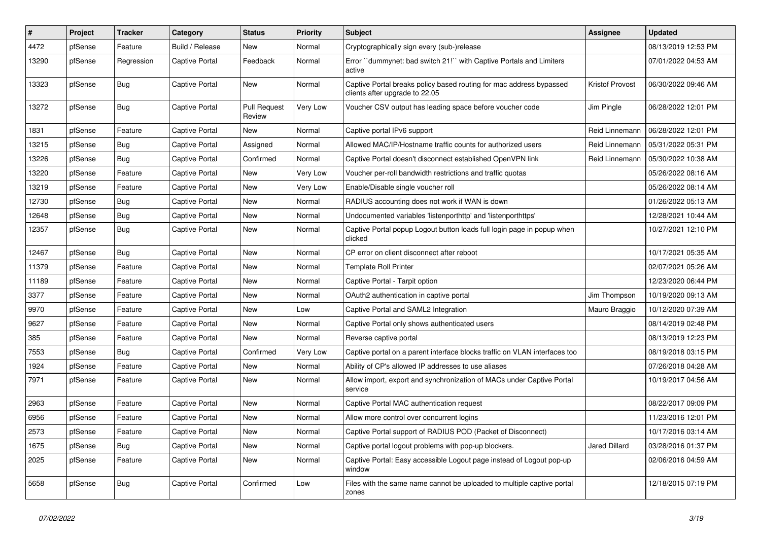| #     | Project | <b>Tracker</b> | Category              | <b>Status</b>                 | <b>Priority</b> | <b>Subject</b>                                                                                        | <b>Assignee</b>        | <b>Updated</b>      |
|-------|---------|----------------|-----------------------|-------------------------------|-----------------|-------------------------------------------------------------------------------------------------------|------------------------|---------------------|
| 4472  | pfSense | Feature        | Build / Release       | New                           | Normal          | Cryptographically sign every (sub-)release                                                            |                        | 08/13/2019 12:53 PM |
| 13290 | pfSense | Regression     | <b>Captive Portal</b> | Feedback                      | Normal          | Error "dummynet: bad switch 21!" with Captive Portals and Limiters<br>active                          |                        | 07/01/2022 04:53 AM |
| 13323 | pfSense | Bug            | <b>Captive Portal</b> | <b>New</b>                    | Normal          | Captive Portal breaks policy based routing for mac address bypassed<br>clients after upgrade to 22.05 | <b>Kristof Provost</b> | 06/30/2022 09:46 AM |
| 13272 | pfSense | Bug            | <b>Captive Portal</b> | <b>Pull Request</b><br>Review | Very Low        | Voucher CSV output has leading space before voucher code                                              | Jim Pingle             | 06/28/2022 12:01 PM |
| 1831  | pfSense | Feature        | <b>Captive Portal</b> | <b>New</b>                    | Normal          | Captive portal IPv6 support                                                                           | Reid Linnemann         | 06/28/2022 12:01 PM |
| 13215 | pfSense | Bug            | Captive Portal        | Assigned                      | Normal          | Allowed MAC/IP/Hostname traffic counts for authorized users                                           | Reid Linnemann         | 05/31/2022 05:31 PM |
| 13226 | pfSense | Bug            | <b>Captive Portal</b> | Confirmed                     | Normal          | Captive Portal doesn't disconnect established OpenVPN link                                            | Reid Linnemann         | 05/30/2022 10:38 AM |
| 13220 | pfSense | Feature        | <b>Captive Portal</b> | New                           | Very Low        | Voucher per-roll bandwidth restrictions and traffic quotas                                            |                        | 05/26/2022 08:16 AM |
| 13219 | pfSense | Feature        | <b>Captive Portal</b> | New                           | Very Low        | Enable/Disable single voucher roll                                                                    |                        | 05/26/2022 08:14 AM |
| 12730 | pfSense | Bug            | <b>Captive Portal</b> | New                           | Normal          | RADIUS accounting does not work if WAN is down                                                        |                        | 01/26/2022 05:13 AM |
| 12648 | pfSense | <b>Bug</b>     | <b>Captive Portal</b> | <b>New</b>                    | Normal          | Undocumented variables 'listenporthttp' and 'listenporthttps'                                         |                        | 12/28/2021 10:44 AM |
| 12357 | pfSense | <b>Bug</b>     | <b>Captive Portal</b> | New                           | Normal          | Captive Portal popup Logout button loads full login page in popup when<br>clicked                     |                        | 10/27/2021 12:10 PM |
| 12467 | pfSense | Bug            | <b>Captive Portal</b> | New                           | Normal          | CP error on client disconnect after reboot                                                            |                        | 10/17/2021 05:35 AM |
| 11379 | pfSense | Feature        | <b>Captive Portal</b> | <b>New</b>                    | Normal          | <b>Template Roll Printer</b>                                                                          |                        | 02/07/2021 05:26 AM |
| 11189 | pfSense | Feature        | <b>Captive Portal</b> | New                           | Normal          | Captive Portal - Tarpit option                                                                        |                        | 12/23/2020 06:44 PM |
| 3377  | pfSense | Feature        | <b>Captive Portal</b> | New                           | Normal          | OAuth2 authentication in captive portal                                                               | Jim Thompson           | 10/19/2020 09:13 AM |
| 9970  | pfSense | Feature        | <b>Captive Portal</b> | <b>New</b>                    | Low             | Captive Portal and SAML2 Integration                                                                  | Mauro Braggio          | 10/12/2020 07:39 AM |
| 9627  | pfSense | Feature        | Captive Portal        | <b>New</b>                    | Normal          | Captive Portal only shows authenticated users                                                         |                        | 08/14/2019 02:48 PM |
| 385   | pfSense | Feature        | <b>Captive Portal</b> | New                           | Normal          | Reverse captive portal                                                                                |                        | 08/13/2019 12:23 PM |
| 7553  | pfSense | Bug            | Captive Portal        | Confirmed                     | Very Low        | Captive portal on a parent interface blocks traffic on VLAN interfaces too                            |                        | 08/19/2018 03:15 PM |
| 1924  | pfSense | Feature        | <b>Captive Portal</b> | New                           | Normal          | Ability of CP's allowed IP addresses to use aliases                                                   |                        | 07/26/2018 04:28 AM |
| 7971  | pfSense | Feature        | Captive Portal        | New                           | Normal          | Allow import, export and synchronization of MACs under Captive Portal<br>service                      |                        | 10/19/2017 04:56 AM |
| 2963  | pfSense | Feature        | <b>Captive Portal</b> | <b>New</b>                    | Normal          | Captive Portal MAC authentication request                                                             |                        | 08/22/2017 09:09 PM |
| 6956  | pfSense | Feature        | <b>Captive Portal</b> | <b>New</b>                    | Normal          | Allow more control over concurrent logins                                                             |                        | 11/23/2016 12:01 PM |
| 2573  | pfSense | Feature        | Captive Portal        | New                           | Normal          | Captive Portal support of RADIUS POD (Packet of Disconnect)                                           |                        | 10/17/2016 03:14 AM |
| 1675  | pfSense | Bug            | Captive Portal        | New                           | Normal          | Captive portal logout problems with pop-up blockers.                                                  | Jared Dillard          | 03/28/2016 01:37 PM |
| 2025  | pfSense | Feature        | <b>Captive Portal</b> | New                           | Normal          | Captive Portal: Easy accessible Logout page instead of Logout pop-up<br>window                        |                        | 02/06/2016 04:59 AM |
| 5658  | pfSense | <b>Bug</b>     | Captive Portal        | Confirmed                     | Low             | Files with the same name cannot be uploaded to multiple captive portal<br>zones                       |                        | 12/18/2015 07:19 PM |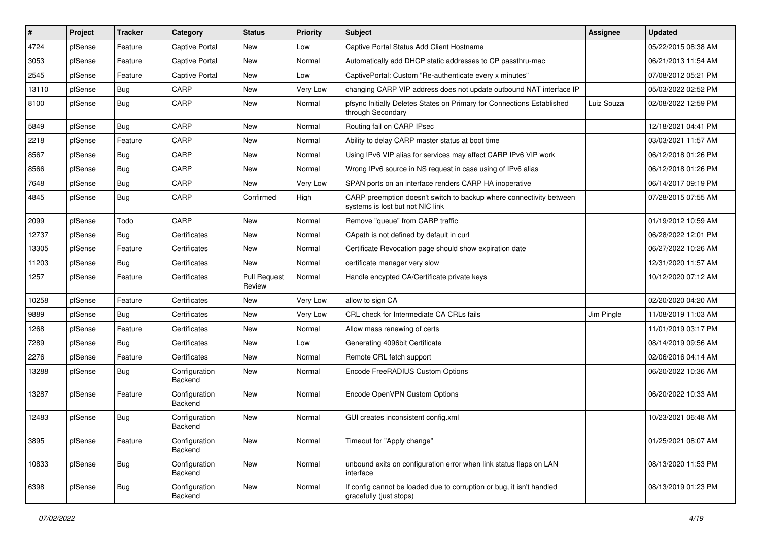| $\pmb{\sharp}$ | Project | <b>Tracker</b> | Category                 | <b>Status</b>                 | <b>Priority</b> | <b>Subject</b>                                                                                          | <b>Assignee</b> | <b>Updated</b>      |
|----------------|---------|----------------|--------------------------|-------------------------------|-----------------|---------------------------------------------------------------------------------------------------------|-----------------|---------------------|
| 4724           | pfSense | Feature        | Captive Portal           | New                           | Low             | Captive Portal Status Add Client Hostname                                                               |                 | 05/22/2015 08:38 AM |
| 3053           | pfSense | Feature        | <b>Captive Portal</b>    | New                           | Normal          | Automatically add DHCP static addresses to CP passthru-mac                                              |                 | 06/21/2013 11:54 AM |
| 2545           | pfSense | Feature        | Captive Portal           | New                           | Low             | CaptivePortal: Custom "Re-authenticate every x minutes"                                                 |                 | 07/08/2012 05:21 PM |
| 13110          | pfSense | Bug            | CARP                     | New                           | Very Low        | changing CARP VIP address does not update outbound NAT interface IP                                     |                 | 05/03/2022 02:52 PM |
| 8100           | pfSense | Bug            | CARP                     | New                           | Normal          | pfsync Initially Deletes States on Primary for Connections Established<br>through Secondary             | Luiz Souza      | 02/08/2022 12:59 PM |
| 5849           | pfSense | Bug            | CARP                     | <b>New</b>                    | Normal          | Routing fail on CARP IPsec                                                                              |                 | 12/18/2021 04:41 PM |
| 2218           | pfSense | Feature        | CARP                     | New                           | Normal          | Ability to delay CARP master status at boot time                                                        |                 | 03/03/2021 11:57 AM |
| 8567           | pfSense | Bug            | CARP                     | New                           | Normal          | Using IPv6 VIP alias for services may affect CARP IPv6 VIP work                                         |                 | 06/12/2018 01:26 PM |
| 8566           | pfSense | Bug            | CARP                     | New                           | Normal          | Wrong IPv6 source in NS request in case using of IPv6 alias                                             |                 | 06/12/2018 01:26 PM |
| 7648           | pfSense | Bug            | CARP                     | New                           | Very Low        | SPAN ports on an interface renders CARP HA inoperative                                                  |                 | 06/14/2017 09:19 PM |
| 4845           | pfSense | <b>Bug</b>     | CARP                     | Confirmed                     | High            | CARP preemption doesn't switch to backup where connectivity between<br>systems is lost but not NIC link |                 | 07/28/2015 07:55 AM |
| 2099           | pfSense | Todo           | CARP                     | <b>New</b>                    | Normal          | Remove "queue" from CARP traffic                                                                        |                 | 01/19/2012 10:59 AM |
| 12737          | pfSense | Bug            | Certificates             | New                           | Normal          | CApath is not defined by default in curl                                                                |                 | 06/28/2022 12:01 PM |
| 13305          | pfSense | Feature        | Certificates             | <b>New</b>                    | Normal          | Certificate Revocation page should show expiration date                                                 |                 | 06/27/2022 10:26 AM |
| 11203          | pfSense | Bug            | Certificates             | New                           | Normal          | certificate manager very slow                                                                           |                 | 12/31/2020 11:57 AM |
| 1257           | pfSense | Feature        | Certificates             | <b>Pull Request</b><br>Review | Normal          | Handle encypted CA/Certificate private keys                                                             |                 | 10/12/2020 07:12 AM |
| 10258          | pfSense | Feature        | Certificates             | New                           | Very Low        | allow to sign CA                                                                                        |                 | 02/20/2020 04:20 AM |
| 9889           | pfSense | Bug            | Certificates             | New                           | Very Low        | CRL check for Intermediate CA CRLs fails                                                                | Jim Pingle      | 11/08/2019 11:03 AM |
| 1268           | pfSense | Feature        | Certificates             | New                           | Normal          | Allow mass renewing of certs                                                                            |                 | 11/01/2019 03:17 PM |
| 7289           | pfSense | Bug            | Certificates             | New                           | Low             | Generating 4096bit Certificate                                                                          |                 | 08/14/2019 09:56 AM |
| 2276           | pfSense | Feature        | Certificates             | New                           | Normal          | Remote CRL fetch support                                                                                |                 | 02/06/2016 04:14 AM |
| 13288          | pfSense | Bug            | Configuration<br>Backend | New                           | Normal          | Encode FreeRADIUS Custom Options                                                                        |                 | 06/20/2022 10:36 AM |
| 13287          | pfSense | Feature        | Configuration<br>Backend | New                           | Normal          | Encode OpenVPN Custom Options                                                                           |                 | 06/20/2022 10:33 AM |
| 12483          | pfSense | <b>Bug</b>     | Configuration<br>Backend | New                           | Normal          | GUI creates inconsistent config.xml                                                                     |                 | 10/23/2021 06:48 AM |
| 3895           | pfSense | Feature        | Configuration<br>Backend | New                           | Normal          | Timeout for "Apply change"                                                                              |                 | 01/25/2021 08:07 AM |
| 10833          | pfSense | Bug            | Configuration<br>Backend | New                           | Normal          | unbound exits on configuration error when link status flaps on LAN<br>interface                         |                 | 08/13/2020 11:53 PM |
| 6398           | pfSense | <b>Bug</b>     | Configuration<br>Backend | New                           | Normal          | If config cannot be loaded due to corruption or bug, it isn't handled<br>gracefully (just stops)        |                 | 08/13/2019 01:23 PM |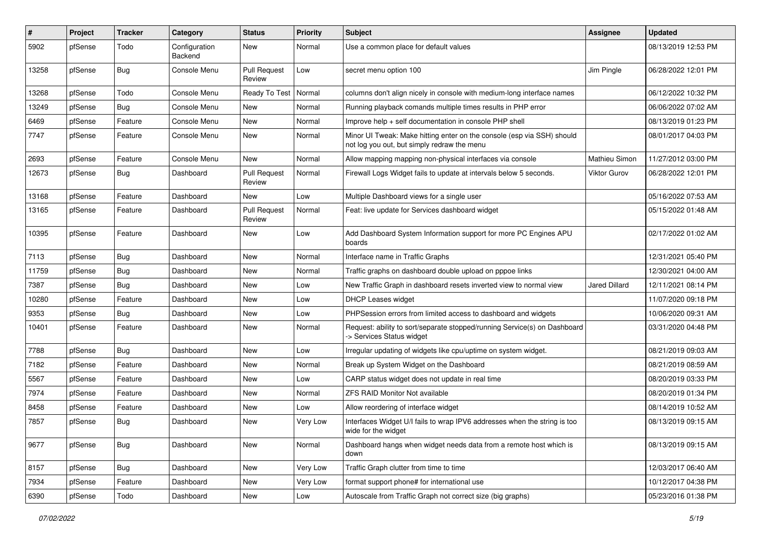| $\sharp$ | Project | <b>Tracker</b> | Category                 | <b>Status</b>                 | <b>Priority</b> | <b>Subject</b>                                                                                                        | <b>Assignee</b>      | <b>Updated</b>      |
|----------|---------|----------------|--------------------------|-------------------------------|-----------------|-----------------------------------------------------------------------------------------------------------------------|----------------------|---------------------|
| 5902     | pfSense | Todo           | Configuration<br>Backend | New                           | Normal          | Use a common place for default values                                                                                 |                      | 08/13/2019 12:53 PM |
| 13258    | pfSense | Bug            | Console Menu             | <b>Pull Request</b><br>Review | Low             | secret menu option 100                                                                                                | Jim Pingle           | 06/28/2022 12:01 PM |
| 13268    | pfSense | Todo           | Console Menu             | Ready To Test                 | Normal          | columns don't align nicely in console with medium-long interface names                                                |                      | 06/12/2022 10:32 PM |
| 13249    | pfSense | Bug            | Console Menu             | <b>New</b>                    | Normal          | Running playback comands multiple times results in PHP error                                                          |                      | 06/06/2022 07:02 AM |
| 6469     | pfSense | Feature        | Console Menu             | New                           | Normal          | Improve help + self documentation in console PHP shell                                                                |                      | 08/13/2019 01:23 PM |
| 7747     | pfSense | Feature        | Console Menu             | New                           | Normal          | Minor UI Tweak: Make hitting enter on the console (esp via SSH) should<br>not log you out, but simply redraw the menu |                      | 08/01/2017 04:03 PM |
| 2693     | pfSense | Feature        | Console Menu             | <b>New</b>                    | Normal          | Allow mapping mapping non-physical interfaces via console                                                             | Mathieu Simon        | 11/27/2012 03:00 PM |
| 12673    | pfSense | Bug            | Dashboard                | <b>Pull Request</b><br>Review | Normal          | Firewall Logs Widget fails to update at intervals below 5 seconds.                                                    | Viktor Gurov         | 06/28/2022 12:01 PM |
| 13168    | pfSense | Feature        | Dashboard                | New                           | Low             | Multiple Dashboard views for a single user                                                                            |                      | 05/16/2022 07:53 AM |
| 13165    | pfSense | Feature        | Dashboard                | <b>Pull Request</b><br>Review | Normal          | Feat: live update for Services dashboard widget                                                                       |                      | 05/15/2022 01:48 AM |
| 10395    | pfSense | Feature        | Dashboard                | <b>New</b>                    | Low             | Add Dashboard System Information support for more PC Engines APU<br>boards                                            |                      | 02/17/2022 01:02 AM |
| 7113     | pfSense | Bug            | Dashboard                | <b>New</b>                    | Normal          | Interface name in Traffic Graphs                                                                                      |                      | 12/31/2021 05:40 PM |
| 11759    | pfSense | Bug            | Dashboard                | New                           | Normal          | Traffic graphs on dashboard double upload on pppoe links                                                              |                      | 12/30/2021 04:00 AM |
| 7387     | pfSense | Bug            | Dashboard                | New                           | LOW             | New Traffic Graph in dashboard resets inverted view to normal view                                                    | <b>Jared Dillard</b> | 12/11/2021 08:14 PM |
| 10280    | pfSense | Feature        | Dashboard                | <b>New</b>                    | Low             | <b>DHCP Leases widget</b>                                                                                             |                      | 11/07/2020 09:18 PM |
| 9353     | pfSense | Bug            | Dashboard                | New                           | Low             | PHPSession errors from limited access to dashboard and widgets                                                        |                      | 10/06/2020 09:31 AM |
| 10401    | pfSense | Feature        | Dashboard                | New                           | Normal          | Request: ability to sort/separate stopped/running Service(s) on Dashboard<br>-> Services Status widget                |                      | 03/31/2020 04:48 PM |
| 7788     | pfSense | Bug            | Dashboard                | New                           | Low             | Irregular updating of widgets like cpu/uptime on system widget.                                                       |                      | 08/21/2019 09:03 AM |
| 7182     | pfSense | Feature        | Dashboard                | New                           | Normal          | Break up System Widget on the Dashboard                                                                               |                      | 08/21/2019 08:59 AM |
| 5567     | pfSense | Feature        | Dashboard                | New                           | Low             | CARP status widget does not update in real time                                                                       |                      | 08/20/2019 03:33 PM |
| 7974     | pfSense | Feature        | Dashboard                | New                           | Normal          | ZFS RAID Monitor Not available                                                                                        |                      | 08/20/2019 01:34 PM |
| 8458     | pfSense | Feature        | Dashboard                | <b>New</b>                    | Low             | Allow reordering of interface widget                                                                                  |                      | 08/14/2019 10:52 AM |
| 7857     | pfSense | Bug            | Dashboard                | New                           | Very Low        | Interfaces Widget U/I fails to wrap IPV6 addresses when the string is too<br>wide for the widget                      |                      | 08/13/2019 09:15 AM |
| 9677     | pfSense | Bug            | Dashboard                | New                           | Normal          | Dashboard hangs when widget needs data from a remote host which is<br>down                                            |                      | 08/13/2019 09:15 AM |
| 8157     | pfSense | Bug            | Dashboard                | New                           | Very Low        | Traffic Graph clutter from time to time                                                                               |                      | 12/03/2017 06:40 AM |
| 7934     | pfSense | Feature        | Dashboard                | New                           | Very Low        | format support phone# for international use                                                                           |                      | 10/12/2017 04:38 PM |
| 6390     | pfSense | Todo           | Dashboard                | New                           | Low             | Autoscale from Traffic Graph not correct size (big graphs)                                                            |                      | 05/23/2016 01:38 PM |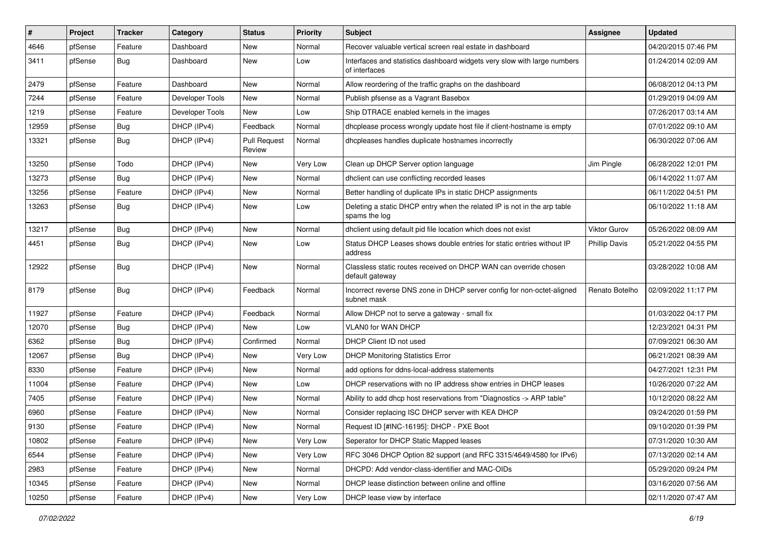| #     | Project | <b>Tracker</b> | Category        | <b>Status</b>                 | <b>Priority</b> | <b>Subject</b>                                                                            | <b>Assignee</b>      | <b>Updated</b>      |
|-------|---------|----------------|-----------------|-------------------------------|-----------------|-------------------------------------------------------------------------------------------|----------------------|---------------------|
| 4646  | pfSense | Feature        | Dashboard       | New                           | Normal          | Recover valuable vertical screen real estate in dashboard                                 |                      | 04/20/2015 07:46 PM |
| 3411  | pfSense | Bug            | Dashboard       | New                           | Low             | Interfaces and statistics dashboard widgets very slow with large numbers<br>of interfaces |                      | 01/24/2014 02:09 AM |
| 2479  | pfSense | Feature        | Dashboard       | <b>New</b>                    | Normal          | Allow reordering of the traffic graphs on the dashboard                                   |                      | 06/08/2012 04:13 PM |
| 7244  | pfSense | Feature        | Developer Tools | New                           | Normal          | Publish pfsense as a Vagrant Basebox                                                      |                      | 01/29/2019 04:09 AM |
| 1219  | pfSense | Feature        | Developer Tools | New                           | Low             | Ship DTRACE enabled kernels in the images                                                 |                      | 07/26/2017 03:14 AM |
| 12959 | pfSense | Bug            | DHCP (IPv4)     | Feedback                      | Normal          | dhcplease process wrongly update host file if client-hostname is empty                    |                      | 07/01/2022 09:10 AM |
| 13321 | pfSense | Bug            | DHCP (IPv4)     | <b>Pull Request</b><br>Review | Normal          | dhcpleases handles duplicate hostnames incorrectly                                        |                      | 06/30/2022 07:06 AM |
| 13250 | pfSense | Todo           | DHCP (IPv4)     | <b>New</b>                    | Very Low        | Clean up DHCP Server option language                                                      | Jim Pingle           | 06/28/2022 12:01 PM |
| 13273 | pfSense | Bug            | DHCP (IPv4)     | New                           | Normal          | dhclient can use conflicting recorded leases                                              |                      | 06/14/2022 11:07 AM |
| 13256 | pfSense | Feature        | DHCP (IPv4)     | New                           | Normal          | Better handling of duplicate IPs in static DHCP assignments                               |                      | 06/11/2022 04:51 PM |
| 13263 | pfSense | Bug            | DHCP (IPv4)     | New                           | Low             | Deleting a static DHCP entry when the related IP is not in the arp table<br>spams the log |                      | 06/10/2022 11:18 AM |
| 13217 | pfSense | Bug            | DHCP (IPv4)     | New                           | Normal          | dhclient using default pid file location which does not exist                             | Viktor Gurov         | 05/26/2022 08:09 AM |
| 4451  | pfSense | Bug            | DHCP (IPv4)     | New                           | Low             | Status DHCP Leases shows double entries for static entries without IP<br>address          | <b>Phillip Davis</b> | 05/21/2022 04:55 PM |
| 12922 | pfSense | Bug            | DHCP (IPv4)     | <b>New</b>                    | Normal          | Classless static routes received on DHCP WAN can override chosen<br>default gateway       |                      | 03/28/2022 10:08 AM |
| 8179  | pfSense | Bug            | DHCP (IPv4)     | Feedback                      | Normal          | Incorrect reverse DNS zone in DHCP server config for non-octet-aligned<br>subnet mask     | Renato Botelho       | 02/09/2022 11:17 PM |
| 11927 | pfSense | Feature        | DHCP (IPv4)     | Feedback                      | Normal          | Allow DHCP not to serve a gateway - small fix                                             |                      | 01/03/2022 04:17 PM |
| 12070 | pfSense | Bug            | DHCP (IPv4)     | <b>New</b>                    | Low             | VLAN0 for WAN DHCP                                                                        |                      | 12/23/2021 04:31 PM |
| 6362  | pfSense | Bug            | DHCP (IPv4)     | Confirmed                     | Normal          | DHCP Client ID not used                                                                   |                      | 07/09/2021 06:30 AM |
| 12067 | pfSense | Bug            | DHCP (IPv4)     | New                           | Very Low        | <b>DHCP Monitoring Statistics Error</b>                                                   |                      | 06/21/2021 08:39 AM |
| 8330  | pfSense | Feature        | DHCP (IPv4)     | <b>New</b>                    | Normal          | add options for ddns-local-address statements                                             |                      | 04/27/2021 12:31 PM |
| 11004 | pfSense | Feature        | DHCP (IPv4)     | New                           | Low             | DHCP reservations with no IP address show entries in DHCP leases                          |                      | 10/26/2020 07:22 AM |
| 7405  | pfSense | Feature        | DHCP (IPv4)     | New                           | Normal          | Ability to add dhcp host reservations from "Diagnostics -> ARP table"                     |                      | 10/12/2020 08:22 AM |
| 6960  | pfSense | Feature        | DHCP (IPv4)     | New                           | Normal          | Consider replacing ISC DHCP server with KEA DHCP                                          |                      | 09/24/2020 01:59 PM |
| 9130  | pfSense | Feature        | DHCP (IPv4)     | New                           | Normal          | Request ID [#INC-16195]: DHCP - PXE Boot                                                  |                      | 09/10/2020 01:39 PM |
| 10802 | pfSense | Feature        | DHCP (IPv4)     | New                           | Very Low        | Seperator for DHCP Static Mapped leases                                                   |                      | 07/31/2020 10:30 AM |
| 6544  | pfSense | Feature        | DHCP (IPv4)     | New                           | Very Low        | RFC 3046 DHCP Option 82 support (and RFC 3315/4649/4580 for IPv6)                         |                      | 07/13/2020 02:14 AM |
| 2983  | pfSense | Feature        | DHCP (IPv4)     | New                           | Normal          | DHCPD: Add vendor-class-identifier and MAC-OIDs                                           |                      | 05/29/2020 09:24 PM |
| 10345 | pfSense | Feature        | DHCP (IPv4)     | New                           | Normal          | DHCP lease distinction between online and offline                                         |                      | 03/16/2020 07:56 AM |
| 10250 | pfSense | Feature        | DHCP (IPv4)     | New                           | Very Low        | DHCP lease view by interface                                                              |                      | 02/11/2020 07:47 AM |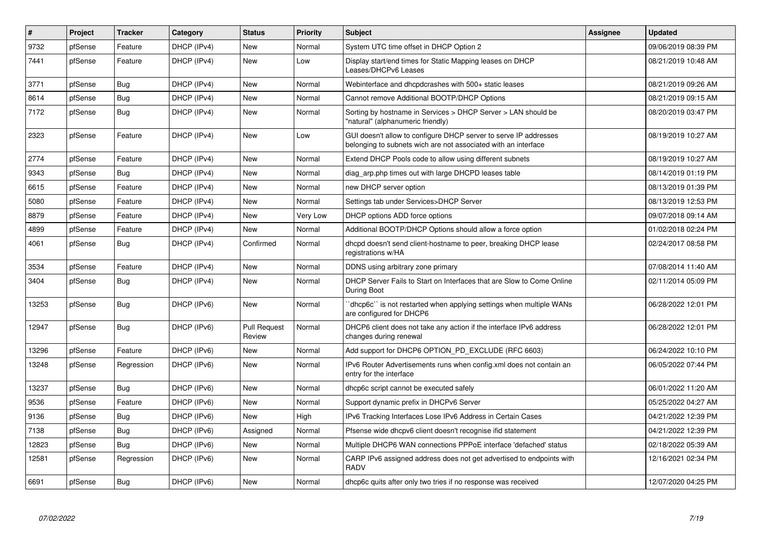| $\vert$ # | Project | <b>Tracker</b> | Category    | <b>Status</b>                 | <b>Priority</b> | <b>Subject</b>                                                                                                                     | Assignee | <b>Updated</b>      |
|-----------|---------|----------------|-------------|-------------------------------|-----------------|------------------------------------------------------------------------------------------------------------------------------------|----------|---------------------|
| 9732      | pfSense | Feature        | DHCP (IPv4) | <b>New</b>                    | Normal          | System UTC time offset in DHCP Option 2                                                                                            |          | 09/06/2019 08:39 PM |
| 7441      | pfSense | Feature        | DHCP (IPv4) | <b>New</b>                    | Low             | Display start/end times for Static Mapping leases on DHCP<br>Leases/DHCPv6 Leases                                                  |          | 08/21/2019 10:48 AM |
| 3771      | pfSense | <b>Bug</b>     | DHCP (IPv4) | <b>New</b>                    | Normal          | Webinterface and dhcpdcrashes with 500+ static leases                                                                              |          | 08/21/2019 09:26 AM |
| 8614      | pfSense | <b>Bug</b>     | DHCP (IPv4) | <b>New</b>                    | Normal          | Cannot remove Additional BOOTP/DHCP Options                                                                                        |          | 08/21/2019 09:15 AM |
| 7172      | pfSense | <b>Bug</b>     | DHCP (IPv4) | New                           | Normal          | Sorting by hostname in Services > DHCP Server > LAN should be<br>"natural" (alphanumeric friendly)                                 |          | 08/20/2019 03:47 PM |
| 2323      | pfSense | Feature        | DHCP (IPv4) | <b>New</b>                    | Low             | GUI doesn't allow to configure DHCP server to serve IP addresses<br>belonging to subnets wich are not associated with an interface |          | 08/19/2019 10:27 AM |
| 2774      | pfSense | Feature        | DHCP (IPv4) | <b>New</b>                    | Normal          | Extend DHCP Pools code to allow using different subnets                                                                            |          | 08/19/2019 10:27 AM |
| 9343      | pfSense | Bug            | DHCP (IPv4) | <b>New</b>                    | Normal          | diag arp.php times out with large DHCPD leases table                                                                               |          | 08/14/2019 01:19 PM |
| 6615      | pfSense | Feature        | DHCP (IPv4) | <b>New</b>                    | Normal          | new DHCP server option                                                                                                             |          | 08/13/2019 01:39 PM |
| 5080      | pfSense | Feature        | DHCP (IPv4) | <b>New</b>                    | Normal          | Settings tab under Services>DHCP Server                                                                                            |          | 08/13/2019 12:53 PM |
| 8879      | pfSense | Feature        | DHCP (IPv4) | <b>New</b>                    | Very Low        | DHCP options ADD force options                                                                                                     |          | 09/07/2018 09:14 AM |
| 4899      | pfSense | Feature        | DHCP (IPv4) | <b>New</b>                    | Normal          | Additional BOOTP/DHCP Options should allow a force option                                                                          |          | 01/02/2018 02:24 PM |
| 4061      | pfSense | Bug            | DHCP (IPv4) | Confirmed                     | Normal          | dhcpd doesn't send client-hostname to peer, breaking DHCP lease<br>registrations w/HA                                              |          | 02/24/2017 08:58 PM |
| 3534      | pfSense | Feature        | DHCP (IPv4) | <b>New</b>                    | Normal          | DDNS using arbitrary zone primary                                                                                                  |          | 07/08/2014 11:40 AM |
| 3404      | pfSense | <b>Bug</b>     | DHCP (IPv4) | <b>New</b>                    | Normal          | DHCP Server Fails to Start on Interfaces that are Slow to Come Online<br>During Boot                                               |          | 02/11/2014 05:09 PM |
| 13253     | pfSense | Bug            | DHCP (IPv6) | <b>New</b>                    | Normal          | `dhcp6c`` is not restarted when applying settings when multiple WANs<br>are configured for DHCP6                                   |          | 06/28/2022 12:01 PM |
| 12947     | pfSense | Bug            | DHCP (IPv6) | <b>Pull Request</b><br>Review | Normal          | DHCP6 client does not take any action if the interface IPv6 address<br>changes during renewal                                      |          | 06/28/2022 12:01 PM |
| 13296     | pfSense | Feature        | DHCP (IPv6) | <b>New</b>                    | Normal          | Add support for DHCP6 OPTION PD EXCLUDE (RFC 6603)                                                                                 |          | 06/24/2022 10:10 PM |
| 13248     | pfSense | Regression     | DHCP (IPv6) | <b>New</b>                    | Normal          | IPv6 Router Advertisements runs when config.xml does not contain an<br>entry for the interface                                     |          | 06/05/2022 07:44 PM |
| 13237     | pfSense | <b>Bug</b>     | DHCP (IPv6) | <b>New</b>                    | Normal          | dhcp6c script cannot be executed safely                                                                                            |          | 06/01/2022 11:20 AM |
| 9536      | pfSense | Feature        | DHCP (IPv6) | New                           | Normal          | Support dynamic prefix in DHCPv6 Server                                                                                            |          | 05/25/2022 04:27 AM |
| 9136      | pfSense | Bug            | DHCP (IPv6) | <b>New</b>                    | High            | IPv6 Tracking Interfaces Lose IPv6 Address in Certain Cases                                                                        |          | 04/21/2022 12:39 PM |
| 7138      | pfSense | <b>Bug</b>     | DHCP (IPv6) | Assigned                      | Normal          | Pfsense wide dhcpv6 client doesn't recognise ifid statement                                                                        |          | 04/21/2022 12:39 PM |
| 12823     | pfSense | Bug            | DHCP (IPv6) | <b>New</b>                    | Normal          | Multiple DHCP6 WAN connections PPPoE interface 'defached' status                                                                   |          | 02/18/2022 05:39 AM |
| 12581     | pfSense | Regression     | DHCP (IPv6) | <b>New</b>                    | Normal          | CARP IPv6 assigned address does not get advertised to endpoints with<br><b>RADV</b>                                                |          | 12/16/2021 02:34 PM |
| 6691      | pfSense | <b>Bug</b>     | DHCP (IPv6) | <b>New</b>                    | Normal          | dhcp6c quits after only two tries if no response was received                                                                      |          | 12/07/2020 04:25 PM |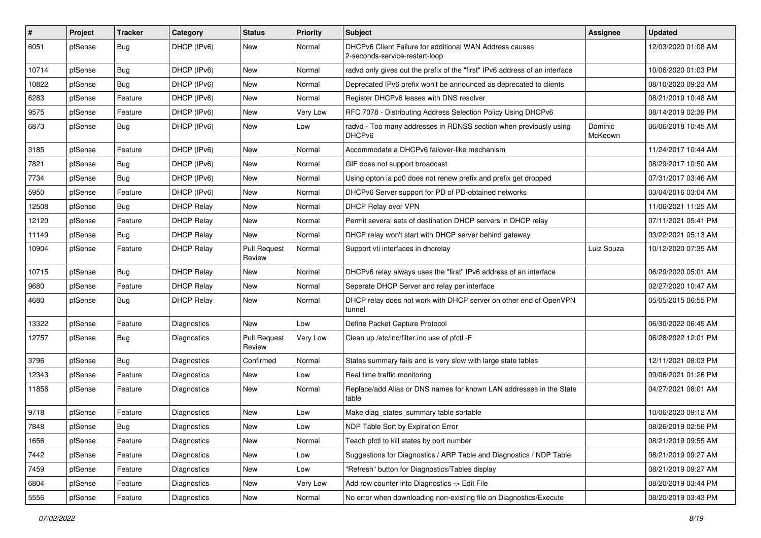| #     | Project | <b>Tracker</b> | Category          | <b>Status</b>                 | <b>Priority</b> | <b>Subject</b>                                                                            | <b>Assignee</b>    | <b>Updated</b>      |
|-------|---------|----------------|-------------------|-------------------------------|-----------------|-------------------------------------------------------------------------------------------|--------------------|---------------------|
| 6051  | pfSense | Bug            | DHCP (IPv6)       | New                           | Normal          | DHCPv6 Client Failure for additional WAN Address causes<br>2-seconds-service-restart-loop |                    | 12/03/2020 01:08 AM |
| 10714 | pfSense | Bug            | DHCP (IPv6)       | New                           | Normal          | radyd only gives out the prefix of the "first" IPv6 address of an interface               |                    | 10/06/2020 01:03 PM |
| 10822 | pfSense | Bug            | DHCP (IPv6)       | New                           | Normal          | Deprecated IPv6 prefix won't be announced as deprecated to clients                        |                    | 08/10/2020 09:23 AM |
| 6283  | pfSense | Feature        | DHCP (IPv6)       | New                           | Normal          | Register DHCPv6 leases with DNS resolver                                                  |                    | 08/21/2019 10:48 AM |
| 9575  | pfSense | Feature        | DHCP (IPv6)       | New                           | Very Low        | RFC 7078 - Distributing Address Selection Policy Using DHCPv6                             |                    | 08/14/2019 02:39 PM |
| 6873  | pfSense | Bug            | DHCP (IPv6)       | New                           | Low             | radvd - Too many addresses in RDNSS section when previously using<br>DHCP <sub>v6</sub>   | Dominic<br>McKeown | 06/06/2018 10:45 AM |
| 3185  | pfSense | Feature        | DHCP (IPv6)       | New                           | Normal          | Accommodate a DHCPv6 failover-like mechanism                                              |                    | 11/24/2017 10:44 AM |
| 7821  | pfSense | Bug            | DHCP (IPv6)       | New                           | Normal          | GIF does not support broadcast                                                            |                    | 08/29/2017 10:50 AM |
| 7734  | pfSense | Bug            | DHCP (IPv6)       | New                           | Normal          | Using opton ia pd0 does not renew prefix and prefix get dropped                           |                    | 07/31/2017 03:46 AM |
| 5950  | pfSense | Feature        | DHCP (IPv6)       | New                           | Normal          | DHCPv6 Server support for PD of PD-obtained networks                                      |                    | 03/04/2016 03:04 AM |
| 12508 | pfSense | <b>Bug</b>     | <b>DHCP Relay</b> | New                           | Normal          | DHCP Relay over VPN                                                                       |                    | 11/06/2021 11:25 AM |
| 12120 | pfSense | Feature        | <b>DHCP Relay</b> | New                           | Normal          | Permit several sets of destination DHCP servers in DHCP relay                             |                    | 07/11/2021 05:41 PM |
| 11149 | pfSense | Bug            | <b>DHCP Relay</b> | New                           | Normal          | DHCP relay won't start with DHCP server behind gateway                                    |                    | 03/22/2021 05:13 AM |
| 10904 | pfSense | Feature        | <b>DHCP Relay</b> | <b>Pull Request</b><br>Review | Normal          | Support vti interfaces in dhcrelay                                                        | Luiz Souza         | 10/12/2020 07:35 AM |
| 10715 | pfSense | <b>Bug</b>     | <b>DHCP Relay</b> | <b>New</b>                    | Normal          | DHCPv6 relay always uses the "first" IPv6 address of an interface                         |                    | 06/29/2020 05:01 AM |
| 9680  | pfSense | Feature        | <b>DHCP Relay</b> | New                           | Normal          | Seperate DHCP Server and relay per interface                                              |                    | 02/27/2020 10:47 AM |
| 4680  | pfSense | Bug            | <b>DHCP Relay</b> | New                           | Normal          | DHCP relay does not work with DHCP server on other end of OpenVPN<br>tunnel               |                    | 05/05/2015 06:55 PM |
| 13322 | pfSense | Feature        | Diagnostics       | New                           | Low             | Define Packet Capture Protocol                                                            |                    | 06/30/2022 06:45 AM |
| 12757 | pfSense | Bug            | Diagnostics       | <b>Pull Request</b><br>Review | Very Low        | Clean up /etc/inc/filter.inc use of pfctl -F                                              |                    | 06/28/2022 12:01 PM |
| 3796  | pfSense | Bug            | Diagnostics       | Confirmed                     | Normal          | States summary fails and is very slow with large state tables                             |                    | 12/11/2021 08:03 PM |
| 12343 | pfSense | Feature        | Diagnostics       | New                           | Low             | Real time traffic monitoring                                                              |                    | 09/06/2021 01:26 PM |
| 11856 | pfSense | Feature        | Diagnostics       | New                           | Normal          | Replace/add Alias or DNS names for known LAN addresses in the State<br>table              |                    | 04/27/2021 08:01 AM |
| 9718  | pfSense | Feature        | Diagnostics       | New                           | Low             | Make diag_states_summary table sortable                                                   |                    | 10/06/2020 09:12 AM |
| 7848  | pfSense | Bug            | Diagnostics       | New                           | Low             | NDP Table Sort by Expiration Error                                                        |                    | 08/26/2019 02:56 PM |
| 1656  | pfSense | Feature        | Diagnostics       | New                           | Normal          | Teach pfctl to kill states by port number                                                 |                    | 08/21/2019 09:55 AM |
| 7442  | pfSense | Feature        | Diagnostics       | New                           | Low             | Suggestions for Diagnostics / ARP Table and Diagnostics / NDP Table                       |                    | 08/21/2019 09:27 AM |
| 7459  | pfSense | Feature        | Diagnostics       | New                           | Low             | "Refresh" button for Diagnostics/Tables display                                           |                    | 08/21/2019 09:27 AM |
| 6804  | pfSense | Feature        | Diagnostics       | New                           | Very Low        | Add row counter into Diagnostics -> Edit File                                             |                    | 08/20/2019 03:44 PM |
| 5556  | pfSense | Feature        | Diagnostics       | New                           | Normal          | No error when downloading non-existing file on Diagnostics/Execute                        |                    | 08/20/2019 03:43 PM |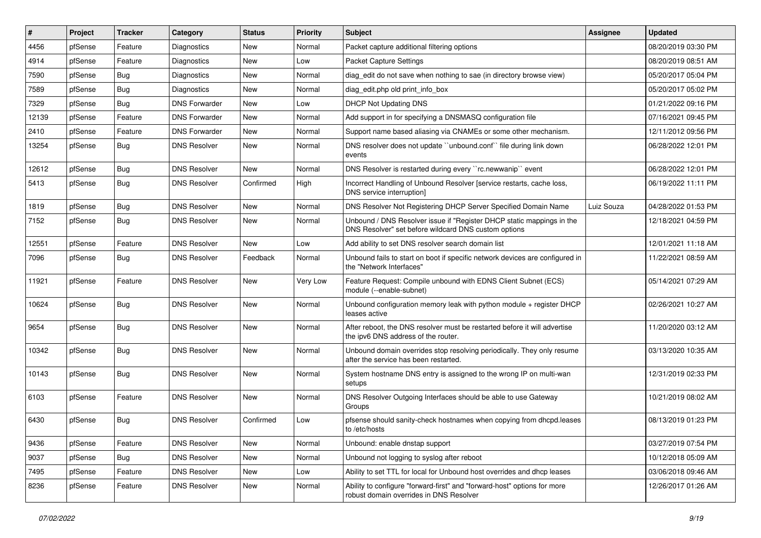| #     | Project | <b>Tracker</b> | Category             | <b>Status</b> | <b>Priority</b> | <b>Subject</b>                                                                                                                | Assignee   | <b>Updated</b>      |
|-------|---------|----------------|----------------------|---------------|-----------------|-------------------------------------------------------------------------------------------------------------------------------|------------|---------------------|
| 4456  | pfSense | Feature        | Diagnostics          | New           | Normal          | Packet capture additional filtering options                                                                                   |            | 08/20/2019 03:30 PM |
| 4914  | pfSense | Feature        | Diagnostics          | <b>New</b>    | Low             | <b>Packet Capture Settings</b>                                                                                                |            | 08/20/2019 08:51 AM |
| 7590  | pfSense | Bug            | Diagnostics          | <b>New</b>    | Normal          | diag edit do not save when nothing to sae (in directory browse view)                                                          |            | 05/20/2017 05:04 PM |
| 7589  | pfSense | Bug            | Diagnostics          | New           | Normal          | diag edit.php old print info box                                                                                              |            | 05/20/2017 05:02 PM |
| 7329  | pfSense | Bug            | <b>DNS Forwarder</b> | <b>New</b>    | LOW             | <b>DHCP Not Updating DNS</b>                                                                                                  |            | 01/21/2022 09:16 PM |
| 12139 | pfSense | Feature        | <b>DNS Forwarder</b> | New           | Normal          | Add support in for specifying a DNSMASQ configuration file                                                                    |            | 07/16/2021 09:45 PM |
| 2410  | pfSense | Feature        | <b>DNS Forwarder</b> | <b>New</b>    | Normal          | Support name based aliasing via CNAMEs or some other mechanism.                                                               |            | 12/11/2012 09:56 PM |
| 13254 | pfSense | Bug            | <b>DNS Resolver</b>  | New           | Normal          | DNS resolver does not update "unbound.conf" file during link down<br>events                                                   |            | 06/28/2022 12:01 PM |
| 12612 | pfSense | Bug            | <b>DNS Resolver</b>  | <b>New</b>    | Normal          | DNS Resolver is restarted during every "rc.newwanip" event                                                                    |            | 06/28/2022 12:01 PM |
| 5413  | pfSense | Bug            | <b>DNS Resolver</b>  | Confirmed     | High            | Incorrect Handling of Unbound Resolver [service restarts, cache loss,<br>DNS service interruption]                            |            | 06/19/2022 11:11 PM |
| 1819  | pfSense | Bug            | <b>DNS Resolver</b>  | <b>New</b>    | Normal          | DNS Resolver Not Registering DHCP Server Specified Domain Name                                                                | Luiz Souza | 04/28/2022 01:53 PM |
| 7152  | pfSense | Bug            | <b>DNS Resolver</b>  | New           | Normal          | Unbound / DNS Resolver issue if "Register DHCP static mappings in the<br>DNS Resolver" set before wildcard DNS custom options |            | 12/18/2021 04:59 PM |
| 12551 | pfSense | Feature        | <b>DNS Resolver</b>  | <b>New</b>    | Low             | Add ability to set DNS resolver search domain list                                                                            |            | 12/01/2021 11:18 AM |
| 7096  | pfSense | <b>Bug</b>     | <b>DNS Resolver</b>  | Feedback      | Normal          | Unbound fails to start on boot if specific network devices are configured in<br>the "Network Interfaces"                      |            | 11/22/2021 08:59 AM |
| 11921 | pfSense | Feature        | <b>DNS Resolver</b>  | <b>New</b>    | Very Low        | Feature Request: Compile unbound with EDNS Client Subnet (ECS)<br>module (--enable-subnet)                                    |            | 05/14/2021 07:29 AM |
| 10624 | pfSense | Bug            | <b>DNS Resolver</b>  | <b>New</b>    | Normal          | Unbound configuration memory leak with python module $+$ register DHCP<br>leases active                                       |            | 02/26/2021 10:27 AM |
| 9654  | pfSense | Bug            | <b>DNS Resolver</b>  | New           | Normal          | After reboot, the DNS resolver must be restarted before it will advertise<br>the ipv6 DNS address of the router.              |            | 11/20/2020 03:12 AM |
| 10342 | pfSense | Bug            | <b>DNS Resolver</b>  | <b>New</b>    | Normal          | Unbound domain overrides stop resolving periodically. They only resume<br>after the service has been restarted.               |            | 03/13/2020 10:35 AM |
| 10143 | pfSense | Bug            | <b>DNS Resolver</b>  | <b>New</b>    | Normal          | System hostname DNS entry is assigned to the wrong IP on multi-wan<br>setups                                                  |            | 12/31/2019 02:33 PM |
| 6103  | pfSense | Feature        | <b>DNS Resolver</b>  | <b>New</b>    | Normal          | DNS Resolver Outgoing Interfaces should be able to use Gateway<br>Groups                                                      |            | 10/21/2019 08:02 AM |
| 6430  | pfSense | Bug            | <b>DNS Resolver</b>  | Confirmed     | LOW             | pfsense should sanity-check hostnames when copying from dhcpd.leases<br>to /etc/hosts                                         |            | 08/13/2019 01:23 PM |
| 9436  | pfSense | Feature        | <b>DNS Resolver</b>  | New           | Normal          | Unbound: enable dnstap support                                                                                                |            | 03/27/2019 07:54 PM |
| 9037  | pfSense | <b>Bug</b>     | <b>DNS Resolver</b>  | New           | Normal          | Unbound not logging to syslog after reboot                                                                                    |            | 10/12/2018 05:09 AM |
| 7495  | pfSense | Feature        | <b>DNS Resolver</b>  | New           | Low             | Ability to set TTL for local for Unbound host overrides and dhcp leases                                                       |            | 03/06/2018 09:46 AM |
| 8236  | pfSense | Feature        | <b>DNS Resolver</b>  | New           | Normal          | Ability to configure "forward-first" and "forward-host" options for more<br>robust domain overrides in DNS Resolver           |            | 12/26/2017 01:26 AM |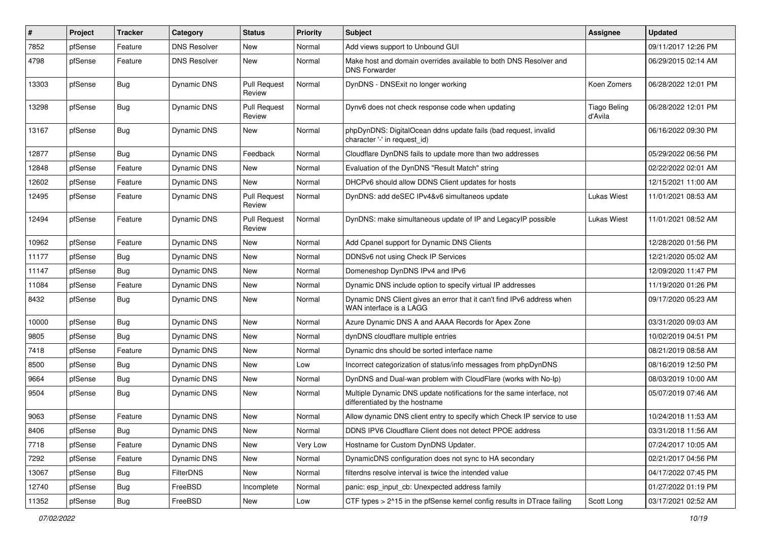| #     | Project | <b>Tracker</b> | Category            | <b>Status</b>                 | <b>Priority</b> | <b>Subject</b>                                                                                          | <b>Assignee</b>                | <b>Updated</b>      |
|-------|---------|----------------|---------------------|-------------------------------|-----------------|---------------------------------------------------------------------------------------------------------|--------------------------------|---------------------|
| 7852  | pfSense | Feature        | <b>DNS Resolver</b> | New                           | Normal          | Add views support to Unbound GUI                                                                        |                                | 09/11/2017 12:26 PM |
| 4798  | pfSense | Feature        | <b>DNS Resolver</b> | <b>New</b>                    | Normal          | Make host and domain overrides available to both DNS Resolver and<br><b>DNS Forwarder</b>               |                                | 06/29/2015 02:14 AM |
| 13303 | pfSense | Bug            | Dynamic DNS         | <b>Pull Request</b><br>Review | Normal          | DynDNS - DNSExit no longer working                                                                      | Koen Zomers                    | 06/28/2022 12:01 PM |
| 13298 | pfSense | Bug            | Dynamic DNS         | <b>Pull Request</b><br>Review | Normal          | Dynv6 does not check response code when updating                                                        | <b>Tiago Beling</b><br>d'Avila | 06/28/2022 12:01 PM |
| 13167 | pfSense | Bug            | Dynamic DNS         | New                           | Normal          | phpDynDNS: DigitalOcean ddns update fails (bad request, invalid<br>character '-' in request id)         |                                | 06/16/2022 09:30 PM |
| 12877 | pfSense | Bug            | Dynamic DNS         | Feedback                      | Normal          | Cloudflare DynDNS fails to update more than two addresses                                               |                                | 05/29/2022 06:56 PM |
| 12848 | pfSense | Feature        | Dynamic DNS         | New                           | Normal          | Evaluation of the DynDNS "Result Match" string                                                          |                                | 02/22/2022 02:01 AM |
| 12602 | pfSense | Feature        | Dynamic DNS         | New                           | Normal          | DHCPv6 should allow DDNS Client updates for hosts                                                       |                                | 12/15/2021 11:00 AM |
| 12495 | pfSense | Feature        | Dynamic DNS         | <b>Pull Request</b><br>Review | Normal          | DynDNS: add deSEC IPv4&v6 simultaneos update                                                            | Lukas Wiest                    | 11/01/2021 08:53 AM |
| 12494 | pfSense | Feature        | Dynamic DNS         | <b>Pull Request</b><br>Review | Normal          | DynDNS: make simultaneous update of IP and LegacyIP possible                                            | Lukas Wiest                    | 11/01/2021 08:52 AM |
| 10962 | pfSense | Feature        | Dynamic DNS         | New                           | Normal          | Add Cpanel support for Dynamic DNS Clients                                                              |                                | 12/28/2020 01:56 PM |
| 11177 | pfSense | Bug            | Dynamic DNS         | New                           | Normal          | DDNSv6 not using Check IP Services                                                                      |                                | 12/21/2020 05:02 AM |
| 11147 | pfSense | Bug            | Dynamic DNS         | New                           | Normal          | Domeneshop DynDNS IPv4 and IPv6                                                                         |                                | 12/09/2020 11:47 PM |
| 11084 | pfSense | Feature        | Dynamic DNS         | New                           | Normal          | Dynamic DNS include option to specify virtual IP addresses                                              |                                | 11/19/2020 01:26 PM |
| 8432  | pfSense | Bug            | Dynamic DNS         | New                           | Normal          | Dynamic DNS Client gives an error that it can't find IPv6 address when<br>WAN interface is a LAGG       |                                | 09/17/2020 05:23 AM |
| 10000 | pfSense | Bug            | Dynamic DNS         | New                           | Normal          | Azure Dynamic DNS A and AAAA Records for Apex Zone                                                      |                                | 03/31/2020 09:03 AM |
| 9805  | pfSense | Bug            | Dynamic DNS         | <b>New</b>                    | Normal          | dynDNS cloudflare multiple entries                                                                      |                                | 10/02/2019 04:51 PM |
| 7418  | pfSense | Feature        | Dynamic DNS         | New                           | Normal          | Dynamic dns should be sorted interface name                                                             |                                | 08/21/2019 08:58 AM |
| 8500  | pfSense | Bug            | Dynamic DNS         | New                           | Low             | Incorrect categorization of status/info messages from phpDynDNS                                         |                                | 08/16/2019 12:50 PM |
| 9664  | pfSense | Bug            | Dynamic DNS         | New                           | Normal          | DynDNS and Dual-wan problem with CloudFlare (works with No-Ip)                                          |                                | 08/03/2019 10:00 AM |
| 9504  | pfSense | Bug            | Dynamic DNS         | New                           | Normal          | Multiple Dynamic DNS update notifications for the same interface, not<br>differentiated by the hostname |                                | 05/07/2019 07:46 AM |
| 9063  | pfSense | Feature        | Dynamic DNS         | New                           | Normal          | Allow dynamic DNS client entry to specify which Check IP service to use                                 |                                | 10/24/2018 11:53 AM |
| 8406  | pfSense | <b>Bug</b>     | Dynamic DNS         | New                           | Normal          | DDNS IPV6 Cloudflare Client does not detect PPOE address                                                |                                | 03/31/2018 11:56 AM |
| 7718  | pfSense | Feature        | Dynamic DNS         | New                           | Very Low        | Hostname for Custom DynDNS Updater.                                                                     |                                | 07/24/2017 10:05 AM |
| 7292  | pfSense | Feature        | Dynamic DNS         | New                           | Normal          | DynamicDNS configuration does not sync to HA secondary                                                  |                                | 02/21/2017 04:56 PM |
| 13067 | pfSense | Bug            | <b>FilterDNS</b>    | New                           | Normal          | filterdns resolve interval is twice the intended value                                                  |                                | 04/17/2022 07:45 PM |
| 12740 | pfSense | <b>Bug</b>     | FreeBSD             | Incomplete                    | Normal          | panic: esp input cb: Unexpected address family                                                          |                                | 01/27/2022 01:19 PM |
| 11352 | pfSense | Bug            | FreeBSD             | New                           | Low             | CTF types > 2^15 in the pfSense kernel config results in DTrace failing                                 | Scott Long                     | 03/17/2021 02:52 AM |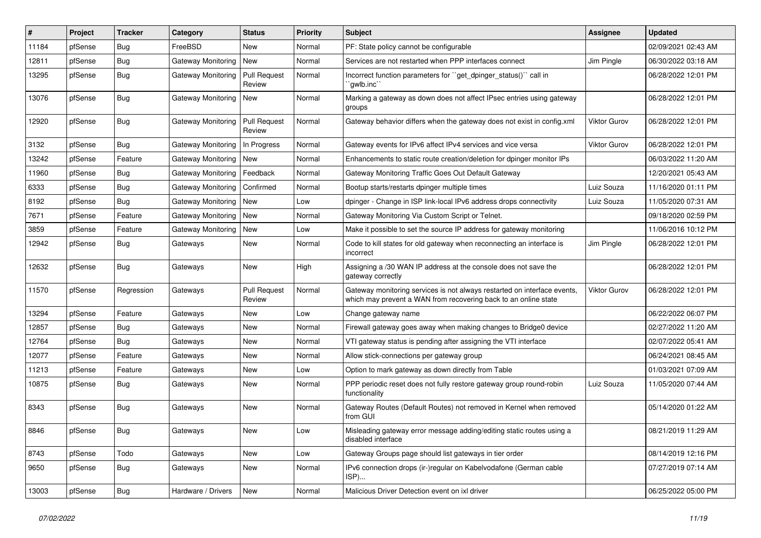| #     | Project | <b>Tracker</b> | Category                  | <b>Status</b>                 | <b>Priority</b> | <b>Subject</b>                                                                                                                              | <b>Assignee</b>     | <b>Updated</b>      |
|-------|---------|----------------|---------------------------|-------------------------------|-----------------|---------------------------------------------------------------------------------------------------------------------------------------------|---------------------|---------------------|
| 11184 | pfSense | <b>Bug</b>     | FreeBSD                   | New                           | Normal          | PF: State policy cannot be configurable                                                                                                     |                     | 02/09/2021 02:43 AM |
| 12811 | pfSense | Bug            | Gateway Monitoring        | New                           | Normal          | Services are not restarted when PPP interfaces connect                                                                                      | Jim Pingle          | 06/30/2022 03:18 AM |
| 13295 | pfSense | Bug            | Gateway Monitoring        | <b>Pull Request</b><br>Review | Normal          | Incorrect function parameters for "get_dpinger_status()" call in<br>`gwlb.inc`                                                              |                     | 06/28/2022 12:01 PM |
| 13076 | pfSense | <b>Bug</b>     | Gateway Monitoring        | New                           | Normal          | Marking a gateway as down does not affect IPsec entries using gateway<br>groups                                                             |                     | 06/28/2022 12:01 PM |
| 12920 | pfSense | <b>Bug</b>     | Gateway Monitoring        | <b>Pull Request</b><br>Review | Normal          | Gateway behavior differs when the gateway does not exist in config.xml                                                                      | <b>Viktor Gurov</b> | 06/28/2022 12:01 PM |
| 3132  | pfSense | <b>Bug</b>     | <b>Gateway Monitoring</b> | In Progress                   | Normal          | Gateway events for IPv6 affect IPv4 services and vice versa                                                                                 | <b>Viktor Gurov</b> | 06/28/2022 12:01 PM |
| 13242 | pfSense | Feature        | Gateway Monitoring        | New                           | Normal          | Enhancements to static route creation/deletion for dpinger monitor IPs                                                                      |                     | 06/03/2022 11:20 AM |
| 11960 | pfSense | Bug            | Gateway Monitoring        | Feedback                      | Normal          | Gateway Monitoring Traffic Goes Out Default Gateway                                                                                         |                     | 12/20/2021 05:43 AM |
| 6333  | pfSense | Bug            | Gateway Monitoring        | Confirmed                     | Normal          | Bootup starts/restarts dpinger multiple times                                                                                               | Luiz Souza          | 11/16/2020 01:11 PM |
| 8192  | pfSense | Bug            | Gateway Monitoring        | New                           | Low             | dpinger - Change in ISP link-local IPv6 address drops connectivity                                                                          | Luiz Souza          | 11/05/2020 07:31 AM |
| 7671  | pfSense | Feature        | Gateway Monitoring        | New                           | Normal          | Gateway Monitoring Via Custom Script or Telnet.                                                                                             |                     | 09/18/2020 02:59 PM |
| 3859  | pfSense | Feature        | Gateway Monitoring        | New                           | Low             | Make it possible to set the source IP address for gateway monitoring                                                                        |                     | 11/06/2016 10:12 PM |
| 12942 | pfSense | Bug            | Gateways                  | New                           | Normal          | Code to kill states for old gateway when reconnecting an interface is<br>incorrect                                                          | Jim Pingle          | 06/28/2022 12:01 PM |
| 12632 | pfSense | Bug            | Gateways                  | New                           | High            | Assigning a /30 WAN IP address at the console does not save the<br>gateway correctly                                                        |                     | 06/28/2022 12:01 PM |
| 11570 | pfSense | Regression     | Gateways                  | <b>Pull Request</b><br>Review | Normal          | Gateway monitoring services is not always restarted on interface events,<br>which may prevent a WAN from recovering back to an online state | Viktor Gurov        | 06/28/2022 12:01 PM |
| 13294 | pfSense | Feature        | Gateways                  | New                           | Low             | Change gateway name                                                                                                                         |                     | 06/22/2022 06:07 PM |
| 12857 | pfSense | <b>Bug</b>     | Gateways                  | New                           | Normal          | Firewall gateway goes away when making changes to Bridge0 device                                                                            |                     | 02/27/2022 11:20 AM |
| 12764 | pfSense | Bug            | Gateways                  | New                           | Normal          | VTI gateway status is pending after assigning the VTI interface                                                                             |                     | 02/07/2022 05:41 AM |
| 12077 | pfSense | Feature        | Gateways                  | New                           | Normal          | Allow stick-connections per gateway group                                                                                                   |                     | 06/24/2021 08:45 AM |
| 11213 | pfSense | Feature        | Gateways                  | New                           | Low             | Option to mark gateway as down directly from Table                                                                                          |                     | 01/03/2021 07:09 AM |
| 10875 | pfSense | <b>Bug</b>     | Gateways                  | New                           | Normal          | PPP periodic reset does not fully restore gateway group round-robin<br>functionality                                                        | Luiz Souza          | 11/05/2020 07:44 AM |
| 8343  | pfSense | Bug            | Gateways                  | New                           | Normal          | Gateway Routes (Default Routes) not removed in Kernel when removed<br>from GUI                                                              |                     | 05/14/2020 01:22 AM |
| 8846  | pfSense | <b>Bug</b>     | Gateways                  | New                           | Low             | Misleading gateway error message adding/editing static routes using a<br>disabled interface                                                 |                     | 08/21/2019 11:29 AM |
| 8743  | pfSense | Todo           | Gateways                  | New                           | Low             | Gateway Groups page should list gateways in tier order                                                                                      |                     | 08/14/2019 12:16 PM |
| 9650  | pfSense | <b>Bug</b>     | Gateways                  | New                           | Normal          | IPv6 connection drops (ir-)regular on Kabelvodafone (German cable<br>ISP)                                                                   |                     | 07/27/2019 07:14 AM |
| 13003 | pfSense | <b>Bug</b>     | Hardware / Drivers        | New                           | Normal          | Malicious Driver Detection event on ixl driver                                                                                              |                     | 06/25/2022 05:00 PM |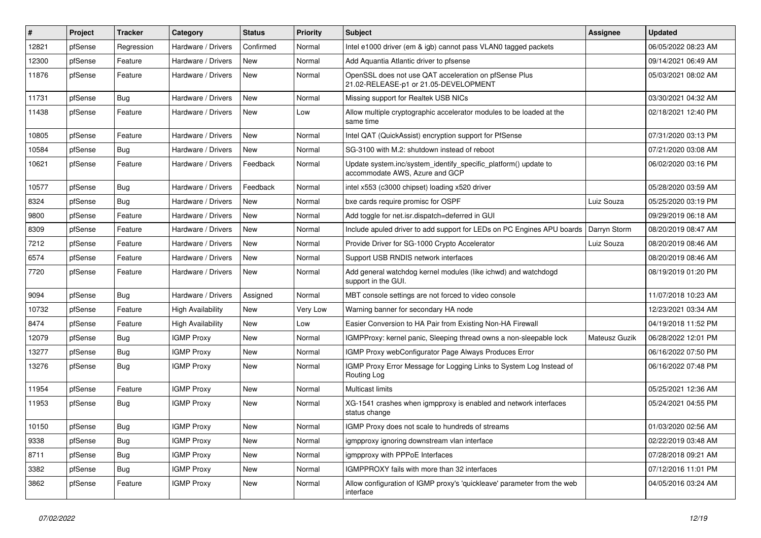| #     | Project | <b>Tracker</b> | Category                 | <b>Status</b> | <b>Priority</b> | <b>Subject</b>                                                                                    | <b>Assignee</b> | <b>Updated</b>      |
|-------|---------|----------------|--------------------------|---------------|-----------------|---------------------------------------------------------------------------------------------------|-----------------|---------------------|
| 12821 | pfSense | Regression     | Hardware / Drivers       | Confirmed     | Normal          | Intel e1000 driver (em & igb) cannot pass VLAN0 tagged packets                                    |                 | 06/05/2022 08:23 AM |
| 12300 | pfSense | Feature        | Hardware / Drivers       | <b>New</b>    | Normal          | Add Aquantia Atlantic driver to pfsense                                                           |                 | 09/14/2021 06:49 AM |
| 11876 | pfSense | Feature        | Hardware / Drivers       | New           | Normal          | OpenSSL does not use QAT acceleration on pfSense Plus<br>21.02-RELEASE-p1 or 21.05-DEVELOPMENT    |                 | 05/03/2021 08:02 AM |
| 11731 | pfSense | <b>Bug</b>     | Hardware / Drivers       | New           | Normal          | Missing support for Realtek USB NICs                                                              |                 | 03/30/2021 04:32 AM |
| 11438 | pfSense | Feature        | Hardware / Drivers       | New           | Low             | Allow multiple cryptographic accelerator modules to be loaded at the<br>same time                 |                 | 02/18/2021 12:40 PM |
| 10805 | pfSense | Feature        | Hardware / Drivers       | <b>New</b>    | Normal          | Intel QAT (QuickAssist) encryption support for PfSense                                            |                 | 07/31/2020 03:13 PM |
| 10584 | pfSense | Bug            | Hardware / Drivers       | New           | Normal          | SG-3100 with M.2: shutdown instead of reboot                                                      |                 | 07/21/2020 03:08 AM |
| 10621 | pfSense | Feature        | Hardware / Drivers       | Feedback      | Normal          | Update system.inc/system_identify_specific_platform() update to<br>accommodate AWS, Azure and GCP |                 | 06/02/2020 03:16 PM |
| 10577 | pfSense | Bug            | Hardware / Drivers       | Feedback      | Normal          | intel x553 (c3000 chipset) loading x520 driver                                                    |                 | 05/28/2020 03:59 AM |
| 8324  | pfSense | Bug            | Hardware / Drivers       | New           | Normal          | bxe cards require promisc for OSPF                                                                | Luiz Souza      | 05/25/2020 03:19 PM |
| 9800  | pfSense | Feature        | Hardware / Drivers       | New           | Normal          | Add toggle for net.isr.dispatch=deferred in GUI                                                   |                 | 09/29/2019 06:18 AM |
| 8309  | pfSense | Feature        | Hardware / Drivers       | <b>New</b>    | Normal          | Include apuled driver to add support for LEDs on PC Engines APU boards                            | Darryn Storm    | 08/20/2019 08:47 AM |
| 7212  | pfSense | Feature        | Hardware / Drivers       | <b>New</b>    | Normal          | Provide Driver for SG-1000 Crypto Accelerator                                                     | Luiz Souza      | 08/20/2019 08:46 AM |
| 6574  | pfSense | Feature        | Hardware / Drivers       | New           | Normal          | Support USB RNDIS network interfaces                                                              |                 | 08/20/2019 08:46 AM |
| 7720  | pfSense | Feature        | Hardware / Drivers       | <b>New</b>    | Normal          | Add general watchdog kernel modules (like ichwd) and watchdogd<br>support in the GUI.             |                 | 08/19/2019 01:20 PM |
| 9094  | pfSense | Bug            | Hardware / Drivers       | Assigned      | Normal          | MBT console settings are not forced to video console                                              |                 | 11/07/2018 10:23 AM |
| 10732 | pfSense | Feature        | <b>High Availability</b> | New           | Very Low        | Warning banner for secondary HA node                                                              |                 | 12/23/2021 03:34 AM |
| 8474  | pfSense | Feature        | <b>High Availability</b> | New           | LOW             | Easier Conversion to HA Pair from Existing Non-HA Firewall                                        |                 | 04/19/2018 11:52 PM |
| 12079 | pfSense | <b>Bug</b>     | <b>IGMP Proxy</b>        | <b>New</b>    | Normal          | IGMPProxy: kernel panic, Sleeping thread owns a non-sleepable lock                                | Mateusz Guzik   | 06/28/2022 12:01 PM |
| 13277 | pfSense | Bug            | <b>IGMP Proxy</b>        | New           | Normal          | IGMP Proxy webConfigurator Page Always Produces Error                                             |                 | 06/16/2022 07:50 PM |
| 13276 | pfSense | Bug            | <b>IGMP Proxy</b>        | New           | Normal          | IGMP Proxy Error Message for Logging Links to System Log Instead of<br>Routing Log                |                 | 06/16/2022 07:48 PM |
| 11954 | pfSense | Feature        | <b>IGMP Proxy</b>        | New           | Normal          | <b>Multicast limits</b>                                                                           |                 | 05/25/2021 12:36 AM |
| 11953 | pfSense | <b>Bug</b>     | <b>IGMP Proxy</b>        | <b>New</b>    | Normal          | XG-1541 crashes when igmpproxy is enabled and network interfaces<br>status change                 |                 | 05/24/2021 04:55 PM |
| 10150 | pfSense | Bug            | <b>IGMP Proxy</b>        | New           | Normal          | IGMP Proxy does not scale to hundreds of streams                                                  |                 | 01/03/2020 02:56 AM |
| 9338  | pfSense | <b>Bug</b>     | <b>IGMP Proxy</b>        | New           | Normal          | igmpproxy ignoring downstream vlan interface                                                      |                 | 02/22/2019 03:48 AM |
| 8711  | pfSense | <b>Bug</b>     | <b>IGMP Proxy</b>        | New           | Normal          | igmpproxy with PPPoE Interfaces                                                                   |                 | 07/28/2018 09:21 AM |
| 3382  | pfSense | <b>Bug</b>     | <b>IGMP Proxy</b>        | New           | Normal          | IGMPPROXY fails with more than 32 interfaces                                                      |                 | 07/12/2016 11:01 PM |
| 3862  | pfSense | Feature        | <b>IGMP Proxy</b>        | New           | Normal          | Allow configuration of IGMP proxy's 'quickleave' parameter from the web<br>interface              |                 | 04/05/2016 03:24 AM |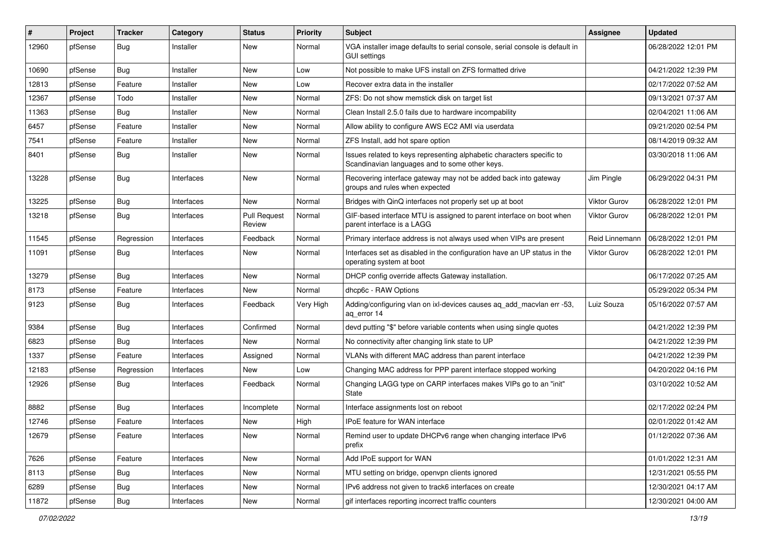| #     | Project | <b>Tracker</b> | Category   | <b>Status</b>                 | Priority  | Subject                                                                                                                 | Assignee            | <b>Updated</b>      |
|-------|---------|----------------|------------|-------------------------------|-----------|-------------------------------------------------------------------------------------------------------------------------|---------------------|---------------------|
| 12960 | pfSense | <b>Bug</b>     | Installer  | New                           | Normal    | VGA installer image defaults to serial console, serial console is default in<br><b>GUI settings</b>                     |                     | 06/28/2022 12:01 PM |
| 10690 | pfSense | Bug            | Installer  | New                           | Low       | Not possible to make UFS install on ZFS formatted drive                                                                 |                     | 04/21/2022 12:39 PM |
| 12813 | pfSense | Feature        | Installer  | New                           | Low       | Recover extra data in the installer                                                                                     |                     | 02/17/2022 07:52 AM |
| 12367 | pfSense | Todo           | Installer  | New                           | Normal    | ZFS: Do not show memstick disk on target list                                                                           |                     | 09/13/2021 07:37 AM |
| 11363 | pfSense | <b>Bug</b>     | Installer  | New                           | Normal    | Clean Install 2.5.0 fails due to hardware incompability                                                                 |                     | 02/04/2021 11:06 AM |
| 6457  | pfSense | Feature        | Installer  | New                           | Normal    | Allow ability to configure AWS EC2 AMI via userdata                                                                     |                     | 09/21/2020 02:54 PM |
| 7541  | pfSense | Feature        | Installer  | New                           | Normal    | ZFS Install, add hot spare option                                                                                       |                     | 08/14/2019 09:32 AM |
| 8401  | pfSense | Bug            | Installer  | New                           | Normal    | Issues related to keys representing alphabetic characters specific to<br>Scandinavian languages and to some other keys. |                     | 03/30/2018 11:06 AM |
| 13228 | pfSense | Bug            | Interfaces | New                           | Normal    | Recovering interface gateway may not be added back into gateway<br>groups and rules when expected                       | Jim Pingle          | 06/29/2022 04:31 PM |
| 13225 | pfSense | <b>Bug</b>     | Interfaces | <b>New</b>                    | Normal    | Bridges with QinQ interfaces not properly set up at boot                                                                | <b>Viktor Gurov</b> | 06/28/2022 12:01 PM |
| 13218 | pfSense | <b>Bug</b>     | Interfaces | <b>Pull Request</b><br>Review | Normal    | GIF-based interface MTU is assigned to parent interface on boot when<br>parent interface is a LAGG                      | Viktor Gurov        | 06/28/2022 12:01 PM |
| 11545 | pfSense | Regression     | Interfaces | Feedback                      | Normal    | Primary interface address is not always used when VIPs are present                                                      | Reid Linnemann      | 06/28/2022 12:01 PM |
| 11091 | pfSense | <b>Bug</b>     | Interfaces | New                           | Normal    | Interfaces set as disabled in the configuration have an UP status in the<br>operating system at boot                    | Viktor Gurov        | 06/28/2022 12:01 PM |
| 13279 | pfSense | <b>Bug</b>     | Interfaces | <b>New</b>                    | Normal    | DHCP config override affects Gateway installation.                                                                      |                     | 06/17/2022 07:25 AM |
| 8173  | pfSense | Feature        | Interfaces | New                           | Normal    | dhcp6c - RAW Options                                                                                                    |                     | 05/29/2022 05:34 PM |
| 9123  | pfSense | <b>Bug</b>     | Interfaces | Feedback                      | Very High | Adding/configuring vlan on ixl-devices causes aq_add_macvlan err -53,<br>aq_error 14                                    | Luiz Souza          | 05/16/2022 07:57 AM |
| 9384  | pfSense | Bug            | Interfaces | Confirmed                     | Normal    | devd putting "\$" before variable contents when using single quotes                                                     |                     | 04/21/2022 12:39 PM |
| 6823  | pfSense | <b>Bug</b>     | Interfaces | <b>New</b>                    | Normal    | No connectivity after changing link state to UP                                                                         |                     | 04/21/2022 12:39 PM |
| 1337  | pfSense | Feature        | Interfaces | Assigned                      | Normal    | VLANs with different MAC address than parent interface                                                                  |                     | 04/21/2022 12:39 PM |
| 12183 | pfSense | Regression     | Interfaces | <b>New</b>                    | Low       | Changing MAC address for PPP parent interface stopped working                                                           |                     | 04/20/2022 04:16 PM |
| 12926 | pfSense | Bug            | Interfaces | Feedback                      | Normal    | Changing LAGG type on CARP interfaces makes VIPs go to an "init"<br>State                                               |                     | 03/10/2022 10:52 AM |
| 8882  | pfSense | <b>Bug</b>     | Interfaces | Incomplete                    | Normal    | Interface assignments lost on reboot                                                                                    |                     | 02/17/2022 02:24 PM |
| 12746 | pfSense | Feature        | Interfaces | New                           | High      | <b>IPoE</b> feature for WAN interface                                                                                   |                     | 02/01/2022 01:42 AM |
| 12679 | pfSense | Feature        | Interfaces | New                           | Normal    | Remind user to update DHCPv6 range when changing interface IPv6<br>prefix                                               |                     | 01/12/2022 07:36 AM |
| 7626  | pfSense | Feature        | Interfaces | New                           | Normal    | Add IPoE support for WAN                                                                                                |                     | 01/01/2022 12:31 AM |
| 8113  | pfSense | <b>Bug</b>     | Interfaces | New                           | Normal    | MTU setting on bridge, openvpn clients ignored                                                                          |                     | 12/31/2021 05:55 PM |
| 6289  | pfSense | <b>Bug</b>     | Interfaces | New                           | Normal    | IPv6 address not given to track6 interfaces on create                                                                   |                     | 12/30/2021 04:17 AM |
| 11872 | pfSense | Bug            | Interfaces | New                           | Normal    | gif interfaces reporting incorrect traffic counters                                                                     |                     | 12/30/2021 04:00 AM |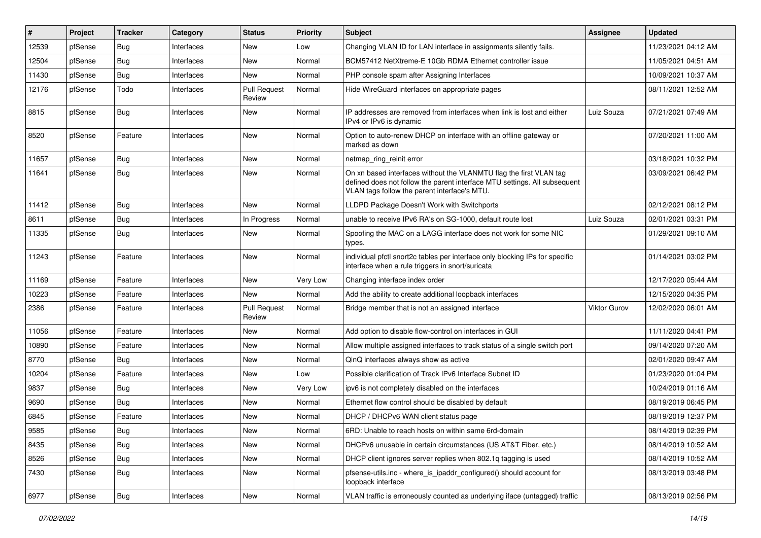| #     | Project | <b>Tracker</b> | Category   | <b>Status</b>                 | <b>Priority</b> | <b>Subject</b>                                                                                                                                                                                  | <b>Assignee</b> | <b>Updated</b>      |
|-------|---------|----------------|------------|-------------------------------|-----------------|-------------------------------------------------------------------------------------------------------------------------------------------------------------------------------------------------|-----------------|---------------------|
| 12539 | pfSense | Bug            | Interfaces | New                           | Low             | Changing VLAN ID for LAN interface in assignments silently fails.                                                                                                                               |                 | 11/23/2021 04:12 AM |
| 12504 | pfSense | <b>Bug</b>     | Interfaces | New                           | Normal          | BCM57412 NetXtreme-E 10Gb RDMA Ethernet controller issue                                                                                                                                        |                 | 11/05/2021 04:51 AM |
| 11430 | pfSense | <b>Bug</b>     | Interfaces | New                           | Normal          | PHP console spam after Assigning Interfaces                                                                                                                                                     |                 | 10/09/2021 10:37 AM |
| 12176 | pfSense | Todo           | Interfaces | <b>Pull Request</b><br>Review | Normal          | Hide WireGuard interfaces on appropriate pages                                                                                                                                                  |                 | 08/11/2021 12:52 AM |
| 8815  | pfSense | Bug            | Interfaces | New                           | Normal          | IP addresses are removed from interfaces when link is lost and either<br>IPv4 or IPv6 is dynamic                                                                                                | Luiz Souza      | 07/21/2021 07:49 AM |
| 8520  | pfSense | Feature        | Interfaces | <b>New</b>                    | Normal          | Option to auto-renew DHCP on interface with an offline gateway or<br>marked as down                                                                                                             |                 | 07/20/2021 11:00 AM |
| 11657 | pfSense | Bug            | Interfaces | New                           | Normal          | netmap_ring_reinit error                                                                                                                                                                        |                 | 03/18/2021 10:32 PM |
| 11641 | pfSense | <b>Bug</b>     | Interfaces | New                           | Normal          | On xn based interfaces without the VLANMTU flag the first VLAN tag<br>defined does not follow the parent interface MTU settings. All subsequent<br>VLAN tags follow the parent interface's MTU. |                 | 03/09/2021 06:42 PM |
| 11412 | pfSense | Bug            | Interfaces | New                           | Normal          | LLDPD Package Doesn't Work with Switchports                                                                                                                                                     |                 | 02/12/2021 08:12 PM |
| 8611  | pfSense | <b>Bug</b>     | Interfaces | In Progress                   | Normal          | unable to receive IPv6 RA's on SG-1000, default route lost                                                                                                                                      | Luiz Souza      | 02/01/2021 03:31 PM |
| 11335 | pfSense | <b>Bug</b>     | Interfaces | New                           | Normal          | Spoofing the MAC on a LAGG interface does not work for some NIC<br>types.                                                                                                                       |                 | 01/29/2021 09:10 AM |
| 11243 | pfSense | Feature        | Interfaces | New                           | Normal          | individual pfctl snort2c tables per interface only blocking IPs for specific<br>interface when a rule triggers in snort/suricata                                                                |                 | 01/14/2021 03:02 PM |
| 11169 | pfSense | Feature        | Interfaces | New                           | Very Low        | Changing interface index order                                                                                                                                                                  |                 | 12/17/2020 05:44 AM |
| 10223 | pfSense | Feature        | Interfaces | <b>New</b>                    | Normal          | Add the ability to create additional loopback interfaces                                                                                                                                        |                 | 12/15/2020 04:35 PM |
| 2386  | pfSense | Feature        | Interfaces | <b>Pull Request</b><br>Review | Normal          | Bridge member that is not an assigned interface                                                                                                                                                 | Viktor Gurov    | 12/02/2020 06:01 AM |
| 11056 | pfSense | Feature        | Interfaces | New                           | Normal          | Add option to disable flow-control on interfaces in GUI                                                                                                                                         |                 | 11/11/2020 04:41 PM |
| 10890 | pfSense | Feature        | Interfaces | New                           | Normal          | Allow multiple assigned interfaces to track status of a single switch port                                                                                                                      |                 | 09/14/2020 07:20 AM |
| 8770  | pfSense | <b>Bug</b>     | Interfaces | New                           | Normal          | QinQ interfaces always show as active                                                                                                                                                           |                 | 02/01/2020 09:47 AM |
| 10204 | pfSense | Feature        | Interfaces | New                           | Low             | Possible clarification of Track IPv6 Interface Subnet ID                                                                                                                                        |                 | 01/23/2020 01:04 PM |
| 9837  | pfSense | <b>Bug</b>     | Interfaces | New                           | Very Low        | ipv6 is not completely disabled on the interfaces                                                                                                                                               |                 | 10/24/2019 01:16 AM |
| 9690  | pfSense | <b>Bug</b>     | Interfaces | <b>New</b>                    | Normal          | Ethernet flow control should be disabled by default                                                                                                                                             |                 | 08/19/2019 06:45 PM |
| 6845  | pfSense | Feature        | Interfaces | New                           | Normal          | DHCP / DHCPv6 WAN client status page                                                                                                                                                            |                 | 08/19/2019 12:37 PM |
| 9585  | pfSense | <b>Bug</b>     | Interfaces | New                           | Normal          | 6RD: Unable to reach hosts on within same 6rd-domain                                                                                                                                            |                 | 08/14/2019 02:39 PM |
| 8435  | pfSense | <b>Bug</b>     | Interfaces | New                           | Normal          | DHCPv6 unusable in certain circumstances (US AT&T Fiber, etc.)                                                                                                                                  |                 | 08/14/2019 10:52 AM |
| 8526  | pfSense | <b>Bug</b>     | Interfaces | New                           | Normal          | DHCP client ignores server replies when 802.1g tagging is used                                                                                                                                  |                 | 08/14/2019 10:52 AM |
| 7430  | pfSense | <b>Bug</b>     | Interfaces | New                           | Normal          | pfsense-utils.inc - where_is_ipaddr_configured() should account for<br>loopback interface                                                                                                       |                 | 08/13/2019 03:48 PM |
| 6977  | pfSense | <b>Bug</b>     | Interfaces | New                           | Normal          | VLAN traffic is erroneously counted as underlying iface (untagged) traffic                                                                                                                      |                 | 08/13/2019 02:56 PM |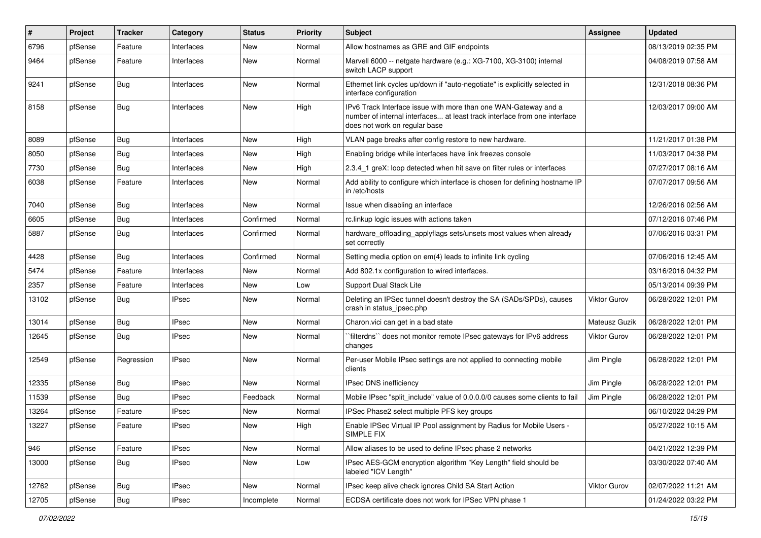| #     | Project | <b>Tracker</b> | Category     | <b>Status</b> | <b>Priority</b> | <b>Subject</b>                                                                                                                                                                | <b>Assignee</b>     | <b>Updated</b>      |
|-------|---------|----------------|--------------|---------------|-----------------|-------------------------------------------------------------------------------------------------------------------------------------------------------------------------------|---------------------|---------------------|
| 6796  | pfSense | Feature        | Interfaces   | New           | Normal          | Allow hostnames as GRE and GIF endpoints                                                                                                                                      |                     | 08/13/2019 02:35 PM |
| 9464  | pfSense | Feature        | Interfaces   | New           | Normal          | Marvell 6000 -- netgate hardware (e.g.: XG-7100, XG-3100) internal<br>switch LACP support                                                                                     |                     | 04/08/2019 07:58 AM |
| 9241  | pfSense | Bug            | Interfaces   | <b>New</b>    | Normal          | Ethernet link cycles up/down if "auto-negotiate" is explicitly selected in<br>interface configuration                                                                         |                     | 12/31/2018 08:36 PM |
| 8158  | pfSense | Bug            | Interfaces   | New           | High            | IPv6 Track Interface issue with more than one WAN-Gateway and a<br>number of internal interfaces at least track interface from one interface<br>does not work on regular base |                     | 12/03/2017 09:00 AM |
| 8089  | pfSense | Bug            | Interfaces   | <b>New</b>    | High            | VLAN page breaks after config restore to new hardware.                                                                                                                        |                     | 11/21/2017 01:38 PM |
| 8050  | pfSense | Bug            | Interfaces   | New           | High            | Enabling bridge while interfaces have link freezes console                                                                                                                    |                     | 11/03/2017 04:38 PM |
| 7730  | pfSense | Bug            | Interfaces   | <b>New</b>    | High            | 2.3.4 1 greX: loop detected when hit save on filter rules or interfaces                                                                                                       |                     | 07/27/2017 08:16 AM |
| 6038  | pfSense | Feature        | Interfaces   | New           | Normal          | Add ability to configure which interface is chosen for defining hostname IP<br>in /etc/hosts                                                                                  |                     | 07/07/2017 09:56 AM |
| 7040  | pfSense | Bug            | Interfaces   | <b>New</b>    | Normal          | Issue when disabling an interface                                                                                                                                             |                     | 12/26/2016 02:56 AM |
| 6605  | pfSense | Bug            | Interfaces   | Confirmed     | Normal          | rc.linkup logic issues with actions taken                                                                                                                                     |                     | 07/12/2016 07:46 PM |
| 5887  | pfSense | Bug            | Interfaces   | Confirmed     | Normal          | hardware offloading applyflags sets/unsets most values when already<br>set correctly                                                                                          |                     | 07/06/2016 03:31 PM |
| 4428  | pfSense | Bug            | Interfaces   | Confirmed     | Normal          | Setting media option on em(4) leads to infinite link cycling                                                                                                                  |                     | 07/06/2016 12:45 AM |
| 5474  | pfSense | Feature        | Interfaces   | <b>New</b>    | Normal          | Add 802.1x configuration to wired interfaces.                                                                                                                                 |                     | 03/16/2016 04:32 PM |
| 2357  | pfSense | Feature        | Interfaces   | <b>New</b>    | Low             | <b>Support Dual Stack Lite</b>                                                                                                                                                |                     | 05/13/2014 09:39 PM |
| 13102 | pfSense | Bug            | <b>IPsec</b> | <b>New</b>    | Normal          | Deleting an IPSec tunnel doesn't destroy the SA (SADs/SPDs), causes<br>crash in status_ipsec.php                                                                              | <b>Viktor Gurov</b> | 06/28/2022 12:01 PM |
| 13014 | pfSense | Bug            | <b>IPsec</b> | <b>New</b>    | Normal          | Charon.vici can get in a bad state                                                                                                                                            | Mateusz Guzik       | 06/28/2022 12:01 PM |
| 12645 | pfSense | Bug            | <b>IPsec</b> | New           | Normal          | `filterdns`` does not monitor remote IPsec gateways for IPv6 address<br>changes                                                                                               | <b>Viktor Gurov</b> | 06/28/2022 12:01 PM |
| 12549 | pfSense | Regression     | <b>IPsec</b> | New           | Normal          | Per-user Mobile IPsec settings are not applied to connecting mobile<br>clients                                                                                                | Jim Pingle          | 06/28/2022 12:01 PM |
| 12335 | pfSense | Bug            | <b>IPsec</b> | New           | Normal          | <b>IPsec DNS inefficiency</b>                                                                                                                                                 | Jim Pingle          | 06/28/2022 12:01 PM |
| 11539 | pfSense | Bug            | <b>IPsec</b> | Feedback      | Normal          | Mobile IPsec "split include" value of 0.0.0.0/0 causes some clients to fail                                                                                                   | Jim Pingle          | 06/28/2022 12:01 PM |
| 13264 | pfSense | Feature        | <b>IPsec</b> | New           | Normal          | IPSec Phase2 select multiple PFS key groups                                                                                                                                   |                     | 06/10/2022 04:29 PM |
| 13227 | pfSense | Feature        | <b>IPsec</b> | New           | High            | Enable IPSec Virtual IP Pool assignment by Radius for Mobile Users -<br>SIMPLE FIX                                                                                            |                     | 05/27/2022 10:15 AM |
| 946   | pfSense | Feature        | <b>IPsec</b> | New           | Normal          | Allow aliases to be used to define IPsec phase 2 networks                                                                                                                     |                     | 04/21/2022 12:39 PM |
| 13000 | pfSense | <b>Bug</b>     | IPsec        | New           | Low             | IPsec AES-GCM encryption algorithm "Key Length" field should be<br>labeled "ICV Length"                                                                                       |                     | 03/30/2022 07:40 AM |
| 12762 | pfSense | Bug            | <b>IPsec</b> | New           | Normal          | IPsec keep alive check ignores Child SA Start Action                                                                                                                          | Viktor Gurov        | 02/07/2022 11:21 AM |
| 12705 | pfSense | <b>Bug</b>     | <b>IPsec</b> | Incomplete    | Normal          | ECDSA certificate does not work for IPSec VPN phase 1                                                                                                                         |                     | 01/24/2022 03:22 PM |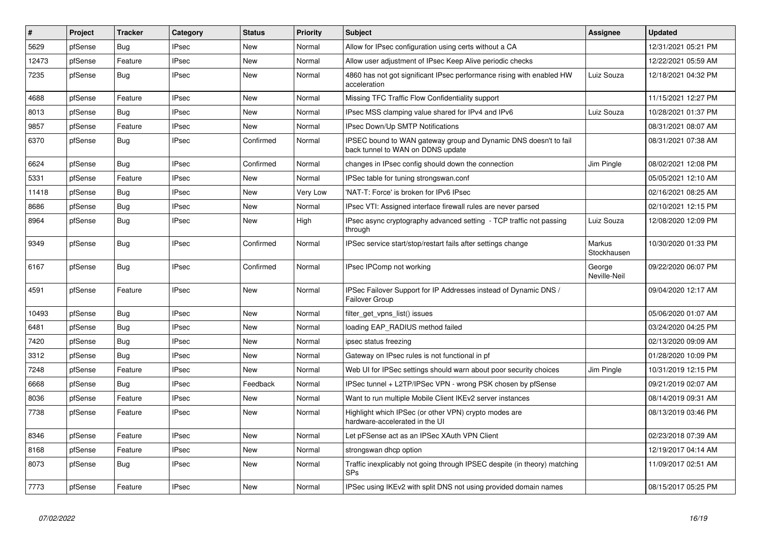| $\sharp$ | <b>Project</b> | <b>Tracker</b> | Category     | <b>Status</b> | <b>Priority</b> | <b>Subject</b>                                                                                        | <b>Assignee</b>              | <b>Updated</b>      |
|----------|----------------|----------------|--------------|---------------|-----------------|-------------------------------------------------------------------------------------------------------|------------------------------|---------------------|
| 5629     | pfSense        | <b>Bug</b>     | <b>IPsec</b> | <b>New</b>    | Normal          | Allow for IPsec configuration using certs without a CA                                                |                              | 12/31/2021 05:21 PM |
| 12473    | pfSense        | Feature        | <b>IPsec</b> | <b>New</b>    | Normal          | Allow user adjustment of IPsec Keep Alive periodic checks                                             |                              | 12/22/2021 05:59 AM |
| 7235     | pfSense        | <b>Bug</b>     | <b>IPsec</b> | <b>New</b>    | Normal          | 4860 has not got significant IPsec performance rising with enabled HW<br>acceleration                 | Luiz Souza                   | 12/18/2021 04:32 PM |
| 4688     | pfSense        | Feature        | <b>IPsec</b> | <b>New</b>    | Normal          | Missing TFC Traffic Flow Confidentiality support                                                      |                              | 11/15/2021 12:27 PM |
| 8013     | pfSense        | Bug            | <b>IPsec</b> | <b>New</b>    | Normal          | IPsec MSS clamping value shared for IPv4 and IPv6                                                     | Luiz Souza                   | 10/28/2021 01:37 PM |
| 9857     | pfSense        | Feature        | <b>IPsec</b> | New           | Normal          | IPsec Down/Up SMTP Notifications                                                                      |                              | 08/31/2021 08:07 AM |
| 6370     | pfSense        | Bug            | <b>IPsec</b> | Confirmed     | Normal          | IPSEC bound to WAN gateway group and Dynamic DNS doesn't to fail<br>back tunnel to WAN on DDNS update |                              | 08/31/2021 07:38 AM |
| 6624     | pfSense        | Bug            | <b>IPsec</b> | Confirmed     | Normal          | changes in IPsec config should down the connection                                                    | Jim Pingle                   | 08/02/2021 12:08 PM |
| 5331     | pfSense        | Feature        | <b>IPsec</b> | <b>New</b>    | Normal          | IPSec table for tuning strongswan.conf                                                                |                              | 05/05/2021 12:10 AM |
| 11418    | pfSense        | <b>Bug</b>     | <b>IPsec</b> | <b>New</b>    | Very Low        | 'NAT-T: Force' is broken for IPv6 IPsec                                                               |                              | 02/16/2021 08:25 AM |
| 8686     | pfSense        | <b>Bug</b>     | <b>IPsec</b> | New           | Normal          | IPsec VTI: Assigned interface firewall rules are never parsed                                         |                              | 02/10/2021 12:15 PM |
| 8964     | pfSense        | <b>Bug</b>     | <b>IPsec</b> | New           | High            | IPsec async cryptography advanced setting - TCP traffic not passing<br>through                        | Luiz Souza                   | 12/08/2020 12:09 PM |
| 9349     | pfSense        | <b>Bug</b>     | <b>IPsec</b> | Confirmed     | Normal          | IPSec service start/stop/restart fails after settings change                                          | <b>Markus</b><br>Stockhausen | 10/30/2020 01:33 PM |
| 6167     | pfSense        | <b>Bug</b>     | <b>IPsec</b> | Confirmed     | Normal          | IPsec IPComp not working                                                                              | George<br>Neville-Neil       | 09/22/2020 06:07 PM |
| 4591     | pfSense        | Feature        | <b>IPsec</b> | <b>New</b>    | Normal          | IPSec Failover Support for IP Addresses instead of Dynamic DNS /<br><b>Failover Group</b>             |                              | 09/04/2020 12:17 AM |
| 10493    | pfSense        | <b>Bug</b>     | <b>IPsec</b> | <b>New</b>    | Normal          | filter get vpns list() issues                                                                         |                              | 05/06/2020 01:07 AM |
| 6481     | pfSense        | Bug            | <b>IPsec</b> | New           | Normal          | loading EAP RADIUS method failed                                                                      |                              | 03/24/2020 04:25 PM |
| 7420     | pfSense        | <b>Bug</b>     | <b>IPsec</b> | <b>New</b>    | Normal          | ipsec status freezing                                                                                 |                              | 02/13/2020 09:09 AM |
| 3312     | pfSense        | Bug            | <b>IPsec</b> | New           | Normal          | Gateway on IPsec rules is not functional in pf                                                        |                              | 01/28/2020 10:09 PM |
| 7248     | pfSense        | Feature        | <b>IPsec</b> | <b>New</b>    | Normal          | Web UI for IPSec settings should warn about poor security choices                                     | Jim Pingle                   | 10/31/2019 12:15 PM |
| 6668     | pfSense        | Bug            | <b>IPsec</b> | Feedback      | Normal          | IPSec tunnel + L2TP/IPSec VPN - wrong PSK chosen by pfSense                                           |                              | 09/21/2019 02:07 AM |
| 8036     | pfSense        | Feature        | <b>IPsec</b> | <b>New</b>    | Normal          | Want to run multiple Mobile Client IKEv2 server instances                                             |                              | 08/14/2019 09:31 AM |
| 7738     | pfSense        | Feature        | <b>IPsec</b> | New           | Normal          | Highlight which IPSec (or other VPN) crypto modes are<br>hardware-accelerated in the UI               |                              | 08/13/2019 03:46 PM |
| 8346     | pfSense        | Feature        | <b>IPsec</b> | New           | Normal          | Let pFSense act as an IPSec XAuth VPN Client                                                          |                              | 02/23/2018 07:39 AM |
| 8168     | pfSense        | Feature        | <b>IPsec</b> | <b>New</b>    | Normal          | strongswan dhcp option                                                                                |                              | 12/19/2017 04:14 AM |
| 8073     | pfSense        | Bug            | IPsec        | New           | Normal          | Traffic inexplicably not going through IPSEC despite (in theory) matching<br><b>SPs</b>               |                              | 11/09/2017 02:51 AM |
| 7773     | pfSense        | Feature        | <b>IPsec</b> | New           | Normal          | IPSec using IKEv2 with split DNS not using provided domain names                                      |                              | 08/15/2017 05:25 PM |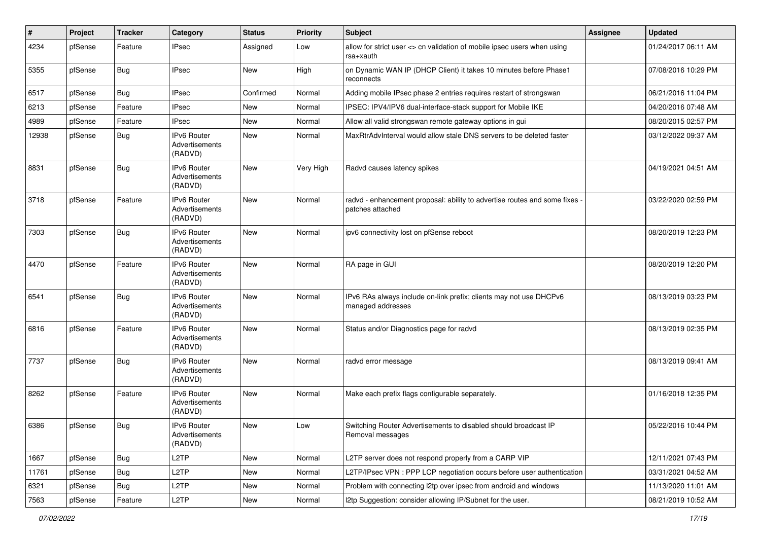| $\vert$ # | Project | <b>Tracker</b> | Category                                        | <b>Status</b> | <b>Priority</b> | <b>Subject</b>                                                                                 | Assignee | <b>Updated</b>      |
|-----------|---------|----------------|-------------------------------------------------|---------------|-----------------|------------------------------------------------------------------------------------------------|----------|---------------------|
| 4234      | pfSense | Feature        | <b>IPsec</b>                                    | Assigned      | Low             | allow for strict user <> cn validation of mobile ipsec users when using<br>rsa+xauth           |          | 01/24/2017 06:11 AM |
| 5355      | pfSense | <b>Bug</b>     | <b>IPsec</b>                                    | New           | High            | on Dynamic WAN IP (DHCP Client) it takes 10 minutes before Phase1<br>reconnects                |          | 07/08/2016 10:29 PM |
| 6517      | pfSense | Bug            | <b>IPsec</b>                                    | Confirmed     | Normal          | Adding mobile IPsec phase 2 entries requires restart of strongswan                             |          | 06/21/2016 11:04 PM |
| 6213      | pfSense | Feature        | <b>IPsec</b>                                    | New           | Normal          | IPSEC: IPV4/IPV6 dual-interface-stack support for Mobile IKE                                   |          | 04/20/2016 07:48 AM |
| 4989      | pfSense | Feature        | <b>IPsec</b>                                    | New           | Normal          | Allow all valid strongswan remote gateway options in gui                                       |          | 08/20/2015 02:57 PM |
| 12938     | pfSense | <b>Bug</b>     | IPv6 Router<br>Advertisements<br>(RADVD)        | New           | Normal          | MaxRtrAdvInterval would allow stale DNS servers to be deleted faster                           |          | 03/12/2022 09:37 AM |
| 8831      | pfSense | <b>Bug</b>     | IPv6 Router<br>Advertisements<br>(RADVD)        | <b>New</b>    | Very High       | Radvd causes latency spikes                                                                    |          | 04/19/2021 04:51 AM |
| 3718      | pfSense | Feature        | IPv6 Router<br>Advertisements<br>(RADVD)        | New           | Normal          | radvd - enhancement proposal: ability to advertise routes and some fixes -<br>patches attached |          | 03/22/2020 02:59 PM |
| 7303      | pfSense | <b>Bug</b>     | IPv6 Router<br>Advertisements<br>(RADVD)        | New           | Normal          | ipv6 connectivity lost on pfSense reboot                                                       |          | 08/20/2019 12:23 PM |
| 4470      | pfSense | Feature        | IPv6 Router<br>Advertisements<br>(RADVD)        | New           | Normal          | RA page in GUI                                                                                 |          | 08/20/2019 12:20 PM |
| 6541      | pfSense | <b>Bug</b>     | IPv6 Router<br>Advertisements<br>(RADVD)        | New           | Normal          | IPv6 RAs always include on-link prefix; clients may not use DHCPv6<br>managed addresses        |          | 08/13/2019 03:23 PM |
| 6816      | pfSense | Feature        | <b>IPv6 Router</b><br>Advertisements<br>(RADVD) | New           | Normal          | Status and/or Diagnostics page for radvd                                                       |          | 08/13/2019 02:35 PM |
| 7737      | pfSense | <b>Bug</b>     | IPv6 Router<br>Advertisements<br>(RADVD)        | New           | Normal          | radvd error message                                                                            |          | 08/13/2019 09:41 AM |
| 8262      | pfSense | Feature        | IPv6 Router<br>Advertisements<br>(RADVD)        | New           | Normal          | Make each prefix flags configurable separately.                                                |          | 01/16/2018 12:35 PM |
| 6386      | pfSense | Bug            | IPv6 Router<br>Advertisements<br>(RADVD)        | New           | Low             | Switching Router Advertisements to disabled should broadcast IP<br>Removal messages            |          | 05/22/2016 10:44 PM |
| 1667      | pfSense | <b>Bug</b>     | L <sub>2</sub> TP                               | New           | Normal          | L2TP server does not respond properly from a CARP VIP                                          |          | 12/11/2021 07:43 PM |
| 11761     | pfSense | <b>Bug</b>     | L2TP                                            | New           | Normal          | L2TP/IPsec VPN : PPP LCP negotiation occurs before user authentication                         |          | 03/31/2021 04:52 AM |
| 6321      | pfSense | <b>Bug</b>     | L2TP                                            | New           | Normal          | Problem with connecting I2tp over ipsec from android and windows                               |          | 11/13/2020 11:01 AM |
| 7563      | pfSense | Feature        | L <sub>2</sub> TP                               | New           | Normal          | I2tp Suggestion: consider allowing IP/Subnet for the user.                                     |          | 08/21/2019 10:52 AM |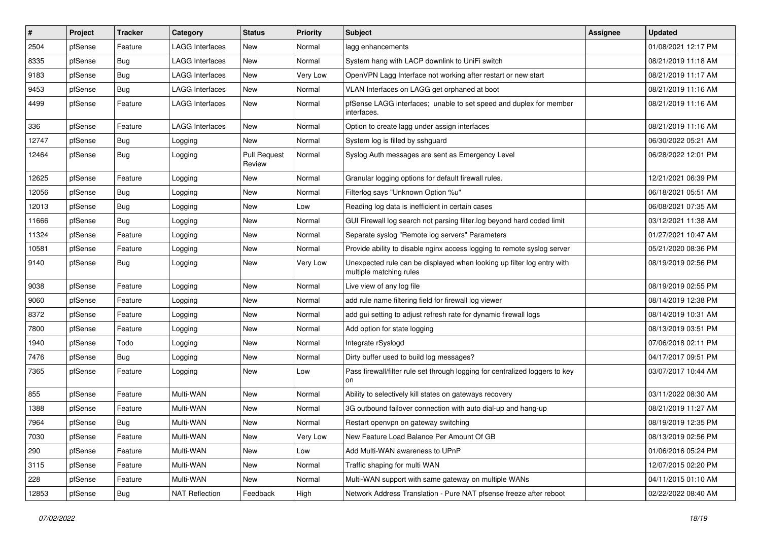| $\vert$ # | Project | <b>Tracker</b> | Category               | <b>Status</b>                 | <b>Priority</b> | <b>Subject</b>                                                                                    | <b>Assignee</b> | <b>Updated</b>      |
|-----------|---------|----------------|------------------------|-------------------------------|-----------------|---------------------------------------------------------------------------------------------------|-----------------|---------------------|
| 2504      | pfSense | Feature        | LAGG Interfaces        | New                           | Normal          | lagg enhancements                                                                                 |                 | 01/08/2021 12:17 PM |
| 8335      | pfSense | Bug            | <b>LAGG Interfaces</b> | <b>New</b>                    | Normal          | System hang with LACP downlink to UniFi switch                                                    |                 | 08/21/2019 11:18 AM |
| 9183      | pfSense | <b>Bug</b>     | <b>LAGG Interfaces</b> | New                           | Very Low        | OpenVPN Lagg Interface not working after restart or new start                                     |                 | 08/21/2019 11:17 AM |
| 9453      | pfSense | <b>Bug</b>     | <b>LAGG Interfaces</b> | <b>New</b>                    | Normal          | VLAN Interfaces on LAGG get orphaned at boot                                                      |                 | 08/21/2019 11:16 AM |
| 4499      | pfSense | Feature        | <b>LAGG Interfaces</b> | <b>New</b>                    | Normal          | pfSense LAGG interfaces; unable to set speed and duplex for member<br>interfaces.                 |                 | 08/21/2019 11:16 AM |
| 336       | pfSense | Feature        | <b>LAGG Interfaces</b> | <b>New</b>                    | Normal          | Option to create lagg under assign interfaces                                                     |                 | 08/21/2019 11:16 AM |
| 12747     | pfSense | Bug            | Logging                | <b>New</b>                    | Normal          | System log is filled by sshguard                                                                  |                 | 06/30/2022 05:21 AM |
| 12464     | pfSense | <b>Bug</b>     | Logging                | <b>Pull Request</b><br>Review | Normal          | Syslog Auth messages are sent as Emergency Level                                                  |                 | 06/28/2022 12:01 PM |
| 12625     | pfSense | Feature        | Logging                | New                           | Normal          | Granular logging options for default firewall rules.                                              |                 | 12/21/2021 06:39 PM |
| 12056     | pfSense | <b>Bug</b>     | Logging                | <b>New</b>                    | Normal          | Filterlog says "Unknown Option %u"                                                                |                 | 06/18/2021 05:51 AM |
| 12013     | pfSense | Bug            | Logging                | <b>New</b>                    | Low             | Reading log data is inefficient in certain cases                                                  |                 | 06/08/2021 07:35 AM |
| 11666     | pfSense | <b>Bug</b>     | Logging                | <b>New</b>                    | Normal          | GUI Firewall log search not parsing filter.log beyond hard coded limit                            |                 | 03/12/2021 11:38 AM |
| 11324     | pfSense | Feature        | Logging                | <b>New</b>                    | Normal          | Separate syslog "Remote log servers" Parameters                                                   |                 | 01/27/2021 10:47 AM |
| 10581     | pfSense | Feature        | Logging                | <b>New</b>                    | Normal          | Provide ability to disable nginx access logging to remote syslog server                           |                 | 05/21/2020 08:36 PM |
| 9140      | pfSense | <b>Bug</b>     | Logging                | <b>New</b>                    | Very Low        | Unexpected rule can be displayed when looking up filter log entry with<br>multiple matching rules |                 | 08/19/2019 02:56 PM |
| 9038      | pfSense | Feature        | Logging                | New                           | Normal          | Live view of any log file                                                                         |                 | 08/19/2019 02:55 PM |
| 9060      | pfSense | Feature        | Logging                | <b>New</b>                    | Normal          | add rule name filtering field for firewall log viewer                                             |                 | 08/14/2019 12:38 PM |
| 8372      | pfSense | Feature        | Logging                | <b>New</b>                    | Normal          | add gui setting to adjust refresh rate for dynamic firewall logs                                  |                 | 08/14/2019 10:31 AM |
| 7800      | pfSense | Feature        | Logging                | New                           | Normal          | Add option for state logging                                                                      |                 | 08/13/2019 03:51 PM |
| 1940      | pfSense | Todo           | Logging                | <b>New</b>                    | Normal          | Integrate rSyslogd                                                                                |                 | 07/06/2018 02:11 PM |
| 7476      | pfSense | <b>Bug</b>     | Logging                | New                           | Normal          | Dirty buffer used to build log messages?                                                          |                 | 04/17/2017 09:51 PM |
| 7365      | pfSense | Feature        | Logging                | <b>New</b>                    | Low             | Pass firewall/filter rule set through logging for centralized loggers to key<br>on                |                 | 03/07/2017 10:44 AM |
| 855       | pfSense | Feature        | Multi-WAN              | New                           | Normal          | Ability to selectively kill states on gateways recovery                                           |                 | 03/11/2022 08:30 AM |
| 1388      | pfSense | Feature        | Multi-WAN              | New                           | Normal          | 3G outbound failover connection with auto dial-up and hang-up                                     |                 | 08/21/2019 11:27 AM |
| 7964      | pfSense | Bug            | Multi-WAN              | <b>New</b>                    | Normal          | Restart openvpn on gateway switching                                                              |                 | 08/19/2019 12:35 PM |
| 7030      | pfSense | Feature        | Multi-WAN              | New                           | Very Low        | New Feature Load Balance Per Amount Of GB                                                         |                 | 08/13/2019 02:56 PM |
| 290       | pfSense | Feature        | Multi-WAN              | New                           | Low             | Add Multi-WAN awareness to UPnP                                                                   |                 | 01/06/2016 05:24 PM |
| 3115      | pfSense | Feature        | Multi-WAN              | New                           | Normal          | Traffic shaping for multi WAN                                                                     |                 | 12/07/2015 02:20 PM |
| 228       | pfSense | Feature        | Multi-WAN              | New                           | Normal          | Multi-WAN support with same gateway on multiple WANs                                              |                 | 04/11/2015 01:10 AM |
| 12853     | pfSense | <b>Bug</b>     | <b>NAT Reflection</b>  | Feedback                      | High            | Network Address Translation - Pure NAT pfsense freeze after reboot                                |                 | 02/22/2022 08:40 AM |